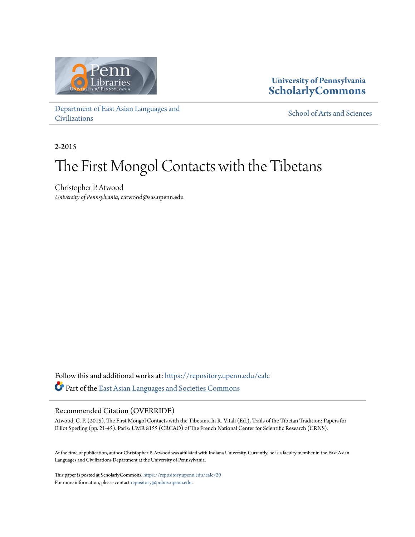

### **University of Pennsylvania [ScholarlyCommons](https://repository.upenn.edu?utm_source=repository.upenn.edu%2Fealc%2F20&utm_medium=PDF&utm_campaign=PDFCoverPages)**

[Department of East Asian Languages and](https://repository.upenn.edu/ealc?utm_source=repository.upenn.edu%2Fealc%2F20&utm_medium=PDF&utm_campaign=PDFCoverPages) [Civilizations](https://repository.upenn.edu/ealc?utm_source=repository.upenn.edu%2Fealc%2F20&utm_medium=PDF&utm_campaign=PDFCoverPages)

[School of Arts and Sciences](https://repository.upenn.edu/sas?utm_source=repository.upenn.edu%2Fealc%2F20&utm_medium=PDF&utm_campaign=PDFCoverPages)

2-2015

# The First Mongol Contacts with the Tibetans

Christopher P. Atwood *University of Pennsylvania*, catwood@sas.upenn.edu

Follow this and additional works at: [https://repository.upenn.edu/ealc](https://repository.upenn.edu/ealc?utm_source=repository.upenn.edu%2Fealc%2F20&utm_medium=PDF&utm_campaign=PDFCoverPages) Part of the [East Asian Languages and Societies Commons](http://network.bepress.com/hgg/discipline/481?utm_source=repository.upenn.edu%2Fealc%2F20&utm_medium=PDF&utm_campaign=PDFCoverPages)

#### Recommended Citation (OVERRIDE)

Atwood, C. P. (2015). The First Mongol Contacts with the Tibetans. In R. Vitali (Ed.), Trails of the Tibetan Tradition: Papers for Elliot Sperling (pp. 21-45). Paris: UMR 8155 (CRCAO) of The French National Center for Scientific Research (CRNS).

At the time of publication, author Christopher P. Atwood was affiliated with Indiana University. Currently, he is a faculty member in the East Asian Languages and Civilizations Department at the University of Pennsylvania.

This paper is posted at ScholarlyCommons. <https://repository.upenn.edu/ealc/20> For more information, please contact [repository@pobox.upenn.edu.](mailto:repository@pobox.upenn.edu)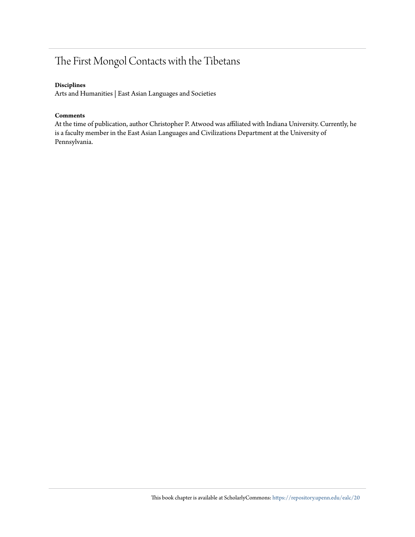## The First Mongol Contacts with the Tibetans

#### **Disciplines**

Arts and Humanities | East Asian Languages and Societies

#### **Comments**

At the time of publication, author Christopher P. Atwood was affiliated with Indiana University. Currently, he is a faculty member in the East Asian Languages and Civilizations Department at the University of Pennsylvania.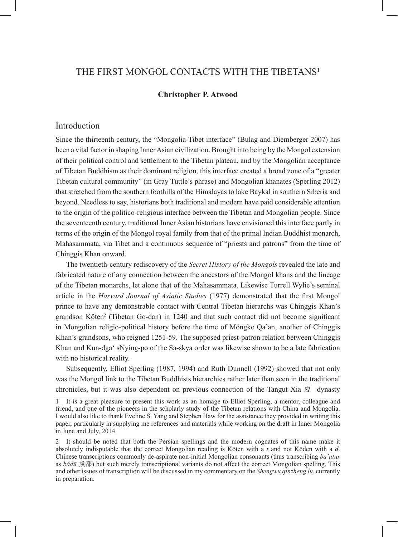#### The First Mongol Contacts with the Tibetans**<sup>1</sup>**

#### **Christopher P. Atwood**

#### Introduction

Since the thirteenth century, the "Mongolia-Tibet interface" (Bulag and Diemberger 2007) has been a vital factor in shaping Inner Asian civilization. Brought into being by the Mongol extension of their political control and settlement to the Tibetan plateau, and by the Mongolian acceptance of Tibetan Buddhism as their dominant religion, this interface created a broad zone of a "greater Tibetan cultural community" (in Gray Tuttle's phrase) and Mongolian khanates (Sperling 2012) that stretched from the southern foothills of the Himalayas to lake Baykal in southern Siberia and beyond. Needless to say, historians both traditional and modern have paid considerable attention to the origin of the politico-religious interface between the Tibetan and Mongolian people. Since the seventeenth century, traditional Inner Asian historians have envisioned this interface partly in terms of the origin of the Mongol royal family from that of the primal Indian Buddhist monarch, Mahasammata, via Tibet and a continuous sequence of "priests and patrons" from the time of Chinggis Khan onward.

The twentieth-century rediscovery of the *Secret History of the Mongols* revealed the late and fabricated nature of any connection between the ancestors of the Mongol khans and the lineage of the Tibetan monarchs, let alone that of the Mahasammata. Likewise Turrell Wylie's seminal article in the *Harvard Journal of Asiatic Studies* (1977) demonstrated that the first Mongol prince to have any demonstrable contact with Central Tibetan hierarchs was Chinggis Khan's grandson Köten<sup>2</sup> (Tibetan Go-dan) in 1240 and that such contact did not become significant in Mongolian religio-political history before the time of Möngke Qa'an, another of Chinggis Khan's grandsons, who reigned 1251-59. The supposed priest-patron relation between Chinggis Khan and Kun-dga' sNying-po of the Sa-skya order was likewise shown to be a late fabrication with no historical reality.

Subsequently, Elliot Sperling (1987, 1994) and Ruth Dunnell (1992) showed that not only was the Mongol link to the Tibetan Buddhists hierarchies rather later than seen in the traditional chronicles, but it was also dependent on previous connection of the Tangut Xia 夏 dynasty

<sup>1</sup> It is a great pleasure to present this work as an homage to Elliot Sperling, a mentor, colleague and friend, and one of the pioneers in the scholarly study of the Tibetan relations with China and Mongolia. I would also like to thank Eveline S. Yang and Stephen Haw for the assistance they provided in writing this paper, particularly in supplying me references and materials while working on the draft in Inner Mongolia in June and July, 2014.

<sup>2</sup> It should be noted that both the Persian spellings and the modern cognates of this name make it absolutely indisputable that the correct Mongolian reading is Köten with a *t* and not Köden with a *d*. Chinese transcriptions commonly de-aspirate non-initial Mongolian consonants (thus transcribing *ba'atur*  as *bádū* 拔都) but such merely transcriptional variants do not affect the correct Mongolian spelling. This and other issues of transcription will be discussed in my commentary on the *Shengwu qinzheng lu*, currently in preparation.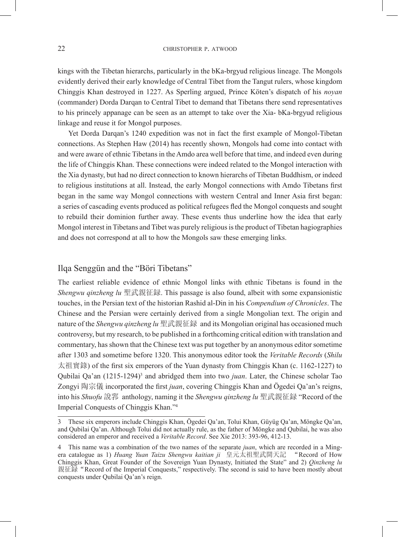kings with the Tibetan hierarchs, particularly in the bKa-brgyud religious lineage. The Mongols evidently derived their early knowledge of Central Tibet from the Tangut rulers, whose kingdom Chinggis Khan destroyed in 1227. As Sperling argued, Prince Köten's dispatch of his *noyan*  (commander) Dorda Darqan to Central Tibet to demand that Tibetans there send representatives to his princely appanage can be seen as an attempt to take over the Xia- bKa-brgyud religious linkage and reuse it for Mongol purposes.

Yet Dorda Darqan's 1240 expedition was not in fact the first example of Mongol-Tibetan connections. As Stephen Haw (2014) has recently shown, Mongols had come into contact with and were aware of ethnic Tibetans in the Amdo area well before that time, and indeed even during the life of Chinggis Khan. These connections were indeed related to the Mongol interaction with the Xia dynasty, but had no direct connection to known hierarchs of Tibetan Buddhism, or indeed to religious institutions at all. Instead, the early Mongol connections with Amdo Tibetans first began in the same way Mongol connections with western Central and Inner Asia first began: a series of cascading events produced as political refugees fled the Mongol conquests and sought to rebuild their dominion further away. These events thus underline how the idea that early Mongol interest in Tibetans and Tibet was purely religious is the product of Tibetan hagiographies and does not correspond at all to how the Mongols saw these emerging links.

#### Ilqa Senggün and the "Böri Tibetans"

The earliest reliable evidence of ethnic Mongol links with ethnic Tibetans is found in the *Shengwu qinzheng lu* 聖武親征録. This passage is also found, albeit with some expansionistic touches, in the Persian text of the historian Rashid al-Din in his *Compendium of Chronicles*. The Chinese and the Persian were certainly derived from a single Mongolian text. The origin and nature of the *Shengwu qinzheng lu* 聖武親征録 and its Mongolian original has occasioned much controversy, but my research, to be published in a forthcoming critical edition with translation and commentary, has shown that the Chinese text was put together by an anonymous editor sometime after 1303 and sometime before 1320. This anonymous editor took the *Veritable Records* (*Shilu*  太祖實錄) of the first six emperors of the Yuan dynasty from Chinggis Khan (c. 1162-1227) to Qubilai Qa'an (1215-1294)<sup>3</sup> and abridged them into two *juan*. Later, the Chinese scholar Tao Zongyi 陶宗儀 incorporated the first *juan*, covering Chinggis Khan and Ögedei Qa'an's reigns, into his *Shuofu* 說郛 anthology, naming it the *Shengwu qinzheng lu* 聖武親征録 "Record of the Imperial Conquests of Chinggis Khan."4

<sup>3</sup> These six emperors include Chinggis Khan, Ögedei Qa'an, Tolui Khan, Güyüg Qa'an, Möngke Qa'an, and Qubilai Qa'an. Although Tolui did not actually rule, as the father of Möngke and Qubilai, he was also considered an emperor and received a *Veritable Record*. See Xie 2013: 393-96, 412-13.

<sup>4</sup> This name was a combination of the two names of the separate *juan*, which are recorded in a Mingera catalogue as 1) *Huang Yuan Taizu Shengwu kaitian ji* 皇元太祖聖武開天記 "Record of How Chinggis Khan, Great Founder of the Sovereign Yuan Dynasty, Initiated the State" and 2) *Qinzheng lu* 親征録"Record of the Imperial Conquests," respectively. The second is said to have been mostly about conquests under Qubilai Qa'an's reign.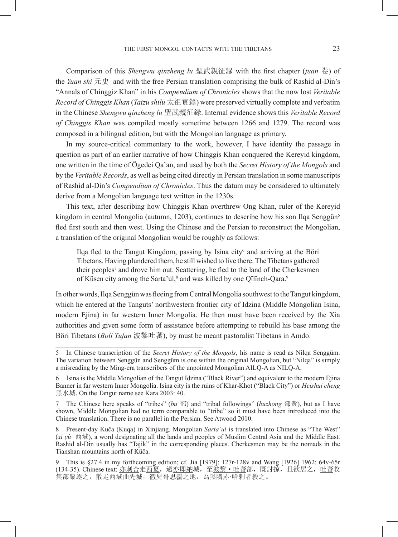Comparison of this *Shengwu qinzheng lu* 聖武親征録 with the first chapter (*juan* 卷) of the *Yuan shi* 元史 and with the free Persian translation comprising the bulk of Rashid al-Din's "Annals of Chinggiz Khan" in his *Compendium of Chronicles* shows that the now lost *Veritable Record of Chinggis Khan* (*Taizu shilu* 太祖實錄) were preserved virtually complete and verbatim in the Chinese *Shengwu qinzheng lu* 聖武親征録. Internal evidence shows this *Veritable Record of Chinggis Khan* was compiled mostly sometime between 1266 and 1279. The record was composed in a bilingual edition, but with the Mongolian language as primary.

In my source-critical commentary to the work, however, I have identity the passage in question as part of an earlier narrative of how Chinggis Khan conquered the Kereyid kingdom, one written in the time of Ögedei Qa'an, and used by both the *Secret History of the Mongols* and by the *Veritable Records*, as well as being cited directly in Persian translation in some manuscripts of Rashid al-Din's *Compendium of Chronicles*. Thus the datum may be considered to ultimately derive from a Mongolian language text written in the 1230s.

This text, after describing how Chinggis Khan overthrew Ong Khan, ruler of the Kereyid kingdom in central Mongolia (autumn, 1203), continues to describe how his son Ilqa Senggün<sup>5</sup> fled first south and then west. Using the Chinese and the Persian to reconstruct the Mongolian, a translation of the original Mongolian would be roughly as follows:

Ilqa fled to the Tangut Kingdom, passing by Isina city<sup>6</sup> and arriving at the Böri Tibetans. Having plundered them, he still wished to live there. The Tibetans gathered their peoples<sup>7</sup> and drove him out. Scattering, he fled to the land of the Cherkesmen of Küsen city among the Sarta'ul,<sup>8</sup> and was killed by one Qïlïnch-Qara.<sup>9</sup>

In other words, Ilqa Senggün was fleeing from Central Mongolia southwest to the Tangut kingdom, which he entered at the Tanguts' northwestern frontier city of Idzina (Middle Mongolian Isina, modern Ejina) in far western Inner Mongolia. He then must have been received by the Xia authorities and given some form of assistance before attempting to rebuild his base among the Böri Tibetans (*Boli Tufan* 波黎吐蕃), by must be meant pastoralist Tibetans in Amdo.

7 The Chinese here speaks of "tribes" (*bu* 部) and "tribal followings" (*buzhong* 部衆), but as I have shown, Middle Mongolian had no term comparable to "tribe" so it must have been introduced into the Chinese translation. There is no parallel in the Persian. See Atwood 2010.

8 Present-day Kuča (Kuqa) in Xinjiang. Mongolian *Sarta'ul* is translated into Chinese as "The West"  $(x\bar{y})$   $\bar{y}$   $\bar{y}$   $\bar{y}$ , a word designating all the lands and peoples of Muslim Central Asia and the Middle East. Rashid al-Din usually has "Tajik" in the corresponding places. Cherkesmen may be the nomads in the Rashid al-Din usually has "Tajik" in the corresponding places. Cherkesmen may be the nomads in the Tianshan mountains north of Küča.

<sup>5</sup> In Chinese transcription of the *Secret History of the Mongols*, his name is read as Nilqa Senggüm. The variation between Senggün and Senggüm is one within the original Mongolian, but "Nilqa" is simply a misreading by the Ming-era transcribers of the unpointed Mongolian AILQ-A as NILQ-A.

<sup>6</sup> Isina is the Middle Mongolian of the Tangut Idzina ("Black River") and equivalent to the modern Ejina Banner in far western Inner Mongolia. Isina city is the ruins of Khar-Khot ("Black City") or *Heishui cheng* 黑水城. On the Tangut name see Kara 2003: 40.

<sup>9</sup> This is §27.4 in my forthcoming edition; cf. Jia [1979]: 127r-128v and Wang [1926] 1962: 64v-65r (134-35). Chinese text: <u>亦剌合走西夏, 過亦即納</u>城, 至<u>波黎·吐蕃</u>部, 既討掠, 且欲居之, <u>吐蕃</u>收 集部衆逐之,散走<u>西域曲先</u>城,<u>徹兒哥思蠻</u>之地,為<u>黑隣赤·哈剌</u>者殺之。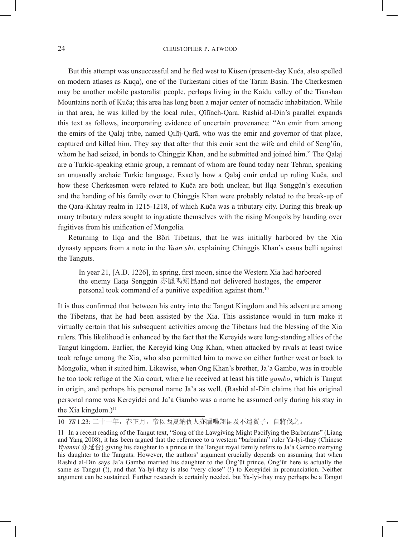#### 24 CHRISTOPHER P. ATWOOD

But this attempt was unsuccessful and he fled west to Küsen (present-day Kuča, also spelled on modern atlases as Kuqa), one of the Turkestani cities of the Tarim Basin. The Cherkesmen may be another mobile pastoralist people, perhaps living in the Kaidu valley of the Tianshan Mountains north of Kuča; this area has long been a major center of nomadic inhabitation. While in that area, he was killed by the local ruler, Qïlïnch-Qara. Rashid al-Din's parallel expands this text as follows, incorporating evidence of uncertain provenance: "An emir from among the emirs of the Qalaj tribe, named Qilīj-Qarā, who was the emir and governor of that place, captured and killed him. They say that after that this emir sent the wife and child of Seng'ün, whom he had seized, in bonds to Chinggiz Khan, and he submitted and joined him." The Qalaj are a Turkic-speaking ethnic group, a remnant of whom are found today near Tehran, speaking an unusually archaic Turkic language. Exactly how a Qalaj emir ended up ruling Kuča, and how these Cherkesmen were related to Kuča are both unclear, but Ilqa Senggün's execution and the handing of his family over to Chinggis Khan were probably related to the break-up of the Qara-Khitay realm in 1215-1218, of which Kuča was a tributary city. During this break-up many tributary rulers sought to ingratiate themselves with the rising Mongols by handing over fugitives from his unification of Mongolia.

Returning to Ilqa and the Böri Tibetans, that he was initially harbored by the Xia dynasty appears from a note in the *Yuan shi*, explaining Chinggis Khan's casus belli against the Tanguts.

In year 21, [A.D. 1226], in spring, first moon, since the Western Xia had harbored the enemy Ilaqa Senggün 亦臘喝翔昆and not delivered hostages, the emperor personal took command of a punitive expedition against them.10

It is thus confirmed that between his entry into the Tangut Kingdom and his adventure among the Tibetans, that he had been assisted by the Xia. This assistance would in turn make it virtually certain that his subsequent activities among the Tibetans had the blessing of the Xia rulers. This likelihood is enhanced by the fact that the Kereyids were long-standing allies of the Tangut kingdom. Earlier, the Kereyid king Ong Khan, when attacked by rivals at least twice took refuge among the Xia, who also permitted him to move on either further west or back to Mongolia, when it suited him. Likewise, when Ong Khan's brother, Ja'a Gambo, was in trouble he too took refuge at the Xia court, where he received at least his title *gambo*, which is Tangut in origin, and perhaps his personal name Ja'a as well. (Rashid al-Din claims that his original personal name was Kereyidei and Ja'a Gambo was a name he assumed only during his stay in the Xia kingdom.) $<sup>11</sup>$ </sup>

10 *YS* 1.23: 二十一年,春正月,帝以西夏納仇人亦臘喝翔昆及不遣質子,自將伐之。

<sup>11</sup> In a recent reading of the Tangut text, "Song of the Lawgiving Might Pacifying the Barbarians" (Liang and Yang 2008), it has been argued that the reference to a western "barbarian" ruler Ya-lyi-thay (Chinese *Yiyantai* 亦延台) giving his daughter to a prince in the Tangut royal family refers to Ja'a Gambo marrying his daughter to the Tanguts. However, the authors' argument crucially depends on assuming that when Rashid al-Din says Ja'a Gambo married his daughter to the Öng'üt prince, Öng'üt here is actually the same as Tangut (!), and that Ya-lyi-thay is also "very close" (!) to Kereyidei in pronunciation. Neither argument can be sustained. Further research is certainly needed, but Ya-lyi-thay may perhaps be a Tangut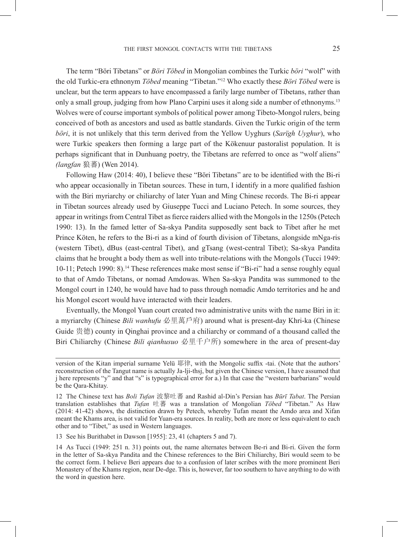The term "Böri Tibetans" or *Böri Töbed* in Mongolian combines the Turkic *böri* "wolf" with the old Turkic-era ethnonym *Töbed* meaning "Tibetan."12 Who exactly these *Böri Töbed* were is unclear, but the term appears to have encompassed a farily large number of Tibetans, rather than only a small group, judging from how Plano Carpini uses it along side a number of ethnonyms.13 Wolves were of course important symbols of political power among Tibeto-Mongol rulers, being conceived of both as ancestors and used as battle standards. Given the Turkic origin of the term *böri*, it is not unlikely that this term derived from the Yellow Uyghurs (*Sarïgh Uyghur*), who were Turkic speakers then forming a large part of the Kökenuur pastoralist population. It is perhaps significant that in Dunhuang poetry, the Tibetans are referred to once as "wolf aliens" *(langfan* 狼蕃) (Wen 2014).

Following Haw (2014: 40), I believe these "Böri Tibetans" are to be identified with the Bi-ri who appear occasionally in Tibetan sources. These in turn, I identify in a more qualified fashion with the Biri myriarchy or chiliarchy of later Yuan and Ming Chinese records. The Bi-ri appear in Tibetan sources already used by Giuseppe Tucci and Luciano Petech. In some sources, they appear in writings from Central Tibet as fierce raiders allied with the Mongols in the 1250s (Petech 1990: 13). In the famed letter of Sa-skya Pandita supposedly sent back to Tibet after he met Prince Köten, he refers to the Bi-ri as a kind of fourth division of Tibetans, alongside mNga-ris (western Tibet), dBus (east-central Tibet), and gTsang (west-central Tibet); Sa-skya Pandita claims that he brought a body them as well into tribute-relations with the Mongols (Tucci 1949: 10-11; Petech 1990: 8).14 These references make most sense if "Bi-ri" had a sense roughly equal to that of Amdo Tibetans, or nomad Amdowas. When Sa-skya Pandita was summoned to the Mongol court in 1240, he would have had to pass through nomadic Amdo territories and he and his Mongol escort would have interacted with their leaders.

Eventually, the Mongol Yuan court created two administrative units with the name Biri in it: a myriarchy (Chinese *Bili wanhufu* 必里萬戶府) around what is present-day Khri-ka (Chinese Guide 贵德) county in Qinghai province and a chiliarchy or command of a thousand called the Biri Chiliarchy (Chinese *Bili qianhusuo* 必里千户所) somewhere in the area of present-day

13 See his Burithabet in Dawson [1955]: 23, 41 (chapters 5 and 7).

version of the Kitan imperial surname Yelü 耶律, with the Mongolic suffix -tai. (Note that the authors' reconstruction of the Tangut name is actually Ja-lji-thsj, but given the Chinese version, I have assumed that j here represents "y" and that "s" is typographical error for a.) In that case the "western barbarians" would be the Qara-Khitay.

<sup>12</sup> The Chinese text has *Boli Tufan* 波黎吐蕃 and Rashid al-Din's Persian has *Būrī Tabat*. The Persian translation establishes that *Tufan* 吐蕃 was a translation of Mongolian *Töbed* "Tibetan." As Haw (2014: 41-42) shows, the distinction drawn by Petech, whereby Tufan meant the Amdo area and Xifan meant the Khams area, is not valid for Yuan-era sources. In reality, both are more or less equivalent to each other and to "Tibet," as used in Western languages.

<sup>14</sup> As Tucci (1949: 251 n. 31) points out, the name alternates between Be-ri and Bi-ri. Given the form in the letter of Sa-skya Pandita and the Chinese references to the Biri Chiliarchy, Biri would seem to be the correct form. I believe Beri appears due to a confusion of later scribes with the more prominent Beri Monastery of the Khams region, near De-dge. This is, however, far too southern to have anything to do with the word in question here.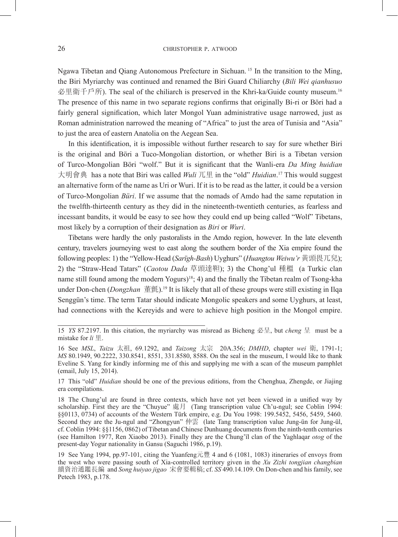Ngawa Tibetan and Qiang Autonomous Prefecture in Sichuan. 15 In the transition to the Ming, the Biri Myriarchy was continued and renamed the Biri Guard Chiliarchy (*Bili Wei qianhusuo*  必里衛千戶所). The seal of the chiliarch is preserved in the Khri-ka/Guide county museum.<sup>16</sup> The presence of this name in two separate regions confirms that originally Bi-ri or Böri had a fairly general signification, which later Mongol Yuan administrative usage narrowed, just as Roman administration narrowed the meaning of "Africa" to just the area of Tunisia and "Asia" to just the area of eastern Anatolia on the Aegean Sea.

In this identification, it is impossible without further research to say for sure whether Biri is the original and Böri a Tuco-Mongolian distortion, or whether Biri is a Tibetan version of Turco-Mongolian Böri "wolf." But it is significant that the Wanli-era *Da Ming huidian*  大明會典 has a note that Biri was called *Wuli* 兀里 in the "old" *Huidian*. 17 This would suggest an alternative form of the name as Uri or Wuri. If it is to be read as the latter, it could be a version of Turco-Mongolian *Büri*. If we assume that the nomads of Amdo had the same reputation in the twelfth-thirteenth century as they did in the nineteenth-twentieth centuries, as fearless and incessant bandits, it would be easy to see how they could end up being called "Wolf" Tibetans, most likely by a corruption of their designation as *Biri* or *Wuri*.

Tibetans were hardly the only pastoralists in the Amdo region, however. In the late eleventh century, travelers journeying west to east along the southern border of the Xia empire found the following peoples: 1) the "Yellow-Head (*Sarïgh-Bash*) Uyghurs" (*Huangtou Weiwu'r* 黃頭畏兀兒); 2) the "Straw-Head Tatars" (*Caotou Dada* 草頭達靼); 3) the Chong'ul 種榲 (a Turkic clan name still found among the modern Yogurs)18; 4) and the finally the Tibetan realm of Tsong-kha under Don-chen (*Dongzhan* 董氈).19 It is likely that all of these groups were still existing in Ilqa Senggün's time. The term Tatar should indicate Mongolic speakers and some Uyghurs, at least, had connections with the Kereyids and were to achieve high position in the Mongol empire.

17 This "old" *Huidian* should be one of the previous editions, from the Chenghua, Zhengde, or Jiajing era compilations.

<sup>15</sup> *YS* 87.2197. In this citation, the myriarchy was misread as Bicheng 必呈, but *cheng* 呈 must be a mistake for *li* 里.

<sup>16</sup> See *MSL*, *Taizu* 太祖, 69.1292, and *Taizong* 太宗 20A.356; *DMHD*, chapter *wei* 衛, 1791-1; *MS* 80.1949, 90.2222, 330.8541, 8551, 331.8580, 8588. On the seal in the museum, I would like to thank Eveline S. Yang for kindly informing me of this and supplying me with a scan of the museum pamphlet (email, July 15, 2014).

<sup>18</sup> The Chung'ul are found in three contexts, which have not yet been viewed in a unified way by scholarship. First they are the "Chuyue" 處月 (Tang transcription value Ch'u-ngul; see Coblin 1994: §§0113, 0734) of accounts of the Western Türk empire, e.g. Du You 1998: 199.5452, 5456, 5459, 5460. Second they are the Ju-ngul and "Zhongyun" 仲雲 (late Tang transcription value Jung-ün for Jung-ül, cf. Coblin 1994: §§1156, 0862) of Tibetan and Chinese Dunhuang documents from the ninth-tenth centuries (see Hamilton 1977, Ren Xiaobo 2013). Finally they are the Chung'ïl clan of the Yaghlaqar *otog* of the present-day Yogur nationality in Gansu (Saguchi 1986, p.19).

<sup>19</sup> See Yang 1994, pp.97-101, citing the Yuanfeng元豐 4 and 6 (1081, 1083) itineraries of envoys from the west who were passing south of Xia-controlled territory given in the *Xu Zizhi tongjian changbian* 續資治通鑑長編 and *Song huiyao jigao* 宋會要輯稿; cf. *SS* 490.14.109. On Don-chen and his family, see Petech 1983, p.178.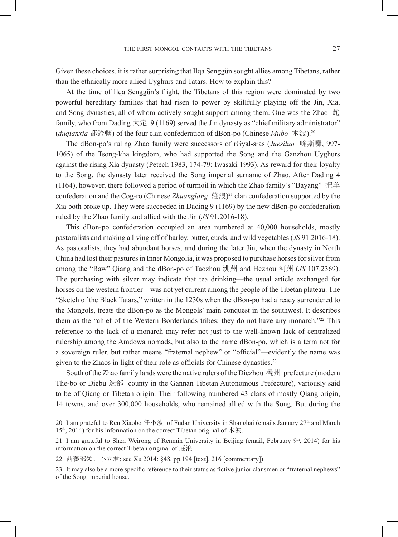Given these choices, it is rather surprising that Ilqa Senggün sought allies among Tibetans, rather than the ethnically more allied Uyghurs and Tatars. How to explain this?

At the time of Ilqa Senggün's flight, the Tibetans of this region were dominated by two powerful hereditary families that had risen to power by skillfully playing off the Jin, Xia, and Song dynasties, all of whom actively sought support among them. One was the Zhao 趙 family, who from Dading 大定 9 (1169) served the Jin dynasty as "chief military administrator" (*duqianxia* 都鈐轄) of the four clan confederation of dBon-po (Chinese *Mubo* 木波).20

The dBon-po's ruling Zhao family were successors of rGyal-sras (*Juesiluo* 唃斯囉, 997- 1065) of the Tsong-kha kingdom, who had supported the Song and the Ganzhou Uyghurs against the rising Xia dynasty (Petech 1983, 174-79; Iwasaki 1993). As reward for their loyalty to the Song, the dynasty later received the Song imperial surname of Zhao. After Dading 4 (1164), however, there followed a period of turmoil in which the Zhao family's "Bayang" 把羊 confederation and the Cog-ro (Chinese *Zhuanglang* 莊浪)21 clan confederation supported by the Xia both broke up. They were succeeded in Dading 9 (1169) by the new dBon-po confederation ruled by the Zhao family and allied with the Jin (*JS* 91.2016-18).

This dBon-po confederation occupied an area numbered at 40,000 households, mostly pastoralists and making a living off of barley, butter, curds, and wild vegetables (*JS* 91.2016-18). As pastoralists, they had abundant horses, and during the later Jin, when the dynasty in North China had lost their pastures in Inner Mongolia, it was proposed to purchase horses for silver from among the "Raw" Qiang and the dBon-po of Taozhou 洮州 and Hezhou 河州 (*JS* 107.2369). The purchasing with silver may indicate that tea drinking—the usual article exchanged for horses on the western frontier—was not yet current among the people of the Tibetan plateau. The "Sketch of the Black Tatars," written in the 1230s when the dBon-po had already surrendered to the Mongols, treats the dBon-po as the Mongols' main conquest in the southwest. It describes them as the "chief of the Western Borderlands tribes; they do not have any monarch."22 This reference to the lack of a monarch may refer not just to the well-known lack of centralized rulership among the Amdowa nomads, but also to the name dBon-po, which is a term not for a sovereign ruler, but rather means "fraternal nephew" or "official"—evidently the name was given to the Zhaos in light of their role as officials for Chinese dynasties.<sup>23</sup>

South of the Zhao family lands were the native rulers of the Diezhou 疊州 prefecture (modern The-bo or Diebu 迭部 county in the Gannan Tibetan Autonomous Prefecture), variously said to be of Qiang or Tibetan origin. Their following numbered 43 clans of mostly Qiang origin, 14 towns, and over 300,000 households, who remained allied with the Song. But during the

<sup>20</sup> I am grateful to Ren Xiaobo 任小波 of Fudan University in Shanghai (emails January  $27<sup>th</sup>$  and March  $15<sup>th</sup>$ , 2014) for his information on the correct Tibetan original of 木波.

<sup>21</sup> I am grateful to Shen Weirong of Renmin University in Beijing (email, February  $9<sup>th</sup>$ , 2014) for his information on the correct Tibetan original of 莊浪.

<sup>22</sup> 西蕃部領, 不立君; see Xu 2014: §48, pp.194 [text], 216 [commentary])

<sup>23</sup> It may also be a more specific reference to their status as fictive junior clansmen or "fraternal nephews" of the Song imperial house.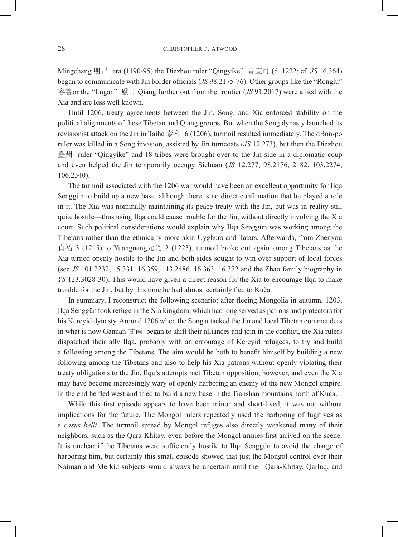Mingchang 明昌 era (1190-95) the Diezhou ruler "Qingyike" 青宜可 (d. 1222; cf. *JS* 16.364) began to communicate with Jin border officials (*JS* 98.2175-76). Other groups like the "Ronglu" 容魯or the "Lugan" 盧甘 Qiang further out from the frontier (*JS* 91.2017) were allied with the Xia and are less well known.

Until 1206, treaty agreements between the Jin, Song, and Xia enforced stability on the political alignments of these Tibetan and Qiang groups. But when the Song dynasty launched its revisionist attack on the Jin in Taihe 泰和 6 (1206), turmoil resulted immediately. The dBon-po ruler was killed in a Song invasion, assisted by Jin turncoats (*JS* 12.273), but then the Diezhou 疊州 ruler "Qingyike" and 18 tribes were brought over to the Jin side in a diplomatic coup and even helped the Jin temporarily occupy Sichuan (*JS* 12.277, 98.2176, 2182, 103.2274, 106.2340).

The turmoil associated with the 1206 war would have been an excellent opportunity for Ilqa Senggün to build up a new base, although there is no direct confirmation that he played a role in it. The Xia was nominally maintaining its peace treaty with the Jin, but was in reality still quite hostile—thus using Ilqa could cause trouble for the Jin, without directly involving the Xia court. Such political considerations would explain why Ilqa Senggün was working among the Tibetans rather than the ethnically more akin Uyghurs and Tatars. Afterwards, from Zhenyou 貞祐 3 (1215) to Yuanguang元光 2 (1223), turmoil broke out again among Tibetans as the Xia turned openly hostile to the Jin and both sides sought to win over support of local forces (see *JS* 101.2232, 15.331, 16.359, 113.2486, 16.363, 16.372 and the Zhao family biography in *YS* 123.3028-30). This would have given a direct reason for the Xia to encourage Ilqa to make trouble for the Jin, but by this time he had almost certainly fled to Kuča.

In summary, I reconstruct the following scenario: after fleeing Mongolia in autumn, 1203, Ilqa Senggün took refuge in the Xia kingdom, which had long served as patrons and protectors for his Kereyid dynasty. Around 1206 when the Song attacked the Jin and local Tibetan commanders in what is now Gannan  $H \overline{B}$  began to shift their alliances and join in the conflict, the Xia rulers dispatched their ally Ilqa, probably with an entourage of Kereyid refugees, to try and build a following among the Tibetans. The aim would be both to benefit himself by building a new following among the Tibetans and also to help his Xia patrons without openly violating their treaty obligations to the Jin. Ilqa's attempts met Tibetan opposition, however, and even the Xia may have become increasingly wary of openly harboring an enemy of the new Mongol empire. In the end he fled west and tried to build a new base in the Tianshan mountains north of Kuča.

While this first episode appears to have been minor and short-lived, it was not without implications for the future. The Mongol rulers repeatedly used the harboring of fugitives as a *casus belli*. The turmoil spread by Mongol refuges also directly weakened many of their neighbors, such as the Qara-Khitay, even before the Mongol armies first arrived on the scene. It is unclear if the Tibetans were sufficiently hostile to Ilqa Senggün to avoid the charge of harboring him, but certainly this small episode showed that just the Mongol control over their Naiman and Merkid subjects would always be uncertain until their Qara-Khitay, Qarluq, and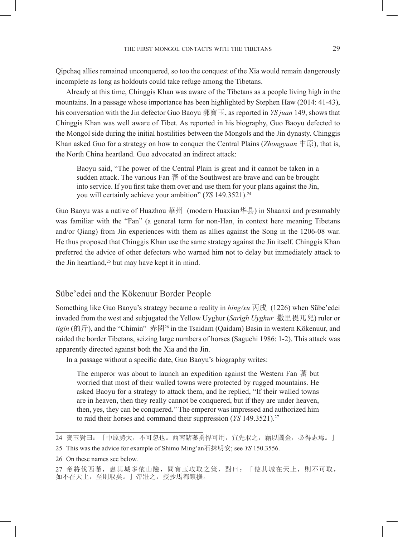Qipchaq allies remained unconquered, so too the conquest of the Xia would remain dangerously incomplete as long as holdouts could take refuge among the Tibetans.

Already at this time, Chinggis Khan was aware of the Tibetans as a people living high in the mountains. In a passage whose importance has been highlighted by Stephen Haw (2014: 41-43), his conversation with the Jin defector Guo Baoyu 郭寶玉, as reported in *YS juan* 149, shows that Chinggis Khan was well aware of Tibet. As reported in his biography, Guo Baoyu defected to the Mongol side during the initial hostilities between the Mongols and the Jin dynasty. Chinggis Khan asked Guo for a strategy on how to conquer the Central Plains (*Zhongyuan* 中原), that is, the North China heartland. Guo advocated an indirect attack:

Baoyu said, "The power of the Central Plain is great and it cannot be taken in a sudden attack. The various Fan 蕃 of the Southwest are brave and can be brought into service. If you first take them over and use them for your plans against the Jin, you will certainly achieve your ambition" (*YS* 149.3521).<sup>24</sup>

Guo Baoyu was a native of Huazhou 華州 (modern Huaxian华县) in Shaanxi and presumably was familiar with the "Fan" (a general term for non-Han, in context here meaning Tibetans and/or Qiang) from Jin experiences with them as allies against the Song in the 1206-08 war. He thus proposed that Chinggis Khan use the same strategy against the Jin itself. Chinggis Khan preferred the advice of other defectors who warned him not to delay but immediately attack to the Jin heartland, $25$  but may have kept it in mind.

#### Sübe'edei and the Kökenuur Border People

Something like Guo Baoyu's strategy became a reality in *bing/xu* 丙戌 (1226) when Sübe'edei invaded from the west and subjugated the Yellow Uyghur (*Sarïgh Uyghur* 撒里畏兀兒) ruler or *tigin* (的斤), and the "Chimin" 赤閔<sup>26</sup> in the Tsaidam (Qaidam) Basin in western Kökenuur, and raided the border Tibetans, seizing large numbers of horses (Saguchi 1986: 1-2). This attack was apparently directed against both the Xia and the Jin.

In a passage without a specific date, Guo Baoyu's biography writes:

The emperor was about to launch an expedition against the Western Fan 蕃 but worried that most of their walled towns were protected by rugged mountains. He asked Baoyu for a strategy to attack them, and he replied, "If their walled towns are in heaven, then they really cannot be conquered, but if they are under heaven, then, yes, they can be conquered." The emperor was impressed and authorized him to raid their horses and command their suppression (*YS* 149.3521).27

<sup>24</sup> 寶玉對曰:「中原勢大,不可忽也。西南諸蕃勇悍可用,宜先取之,藉以圖金,必得志焉。」

<sup>25</sup> This was the advice for example of Shimo Ming'an石抹明安; see *YS* 150.3556.

<sup>26</sup> On these names see below.

<sup>27</sup> 帝將伐西蕃,患其城多依山險,問寶玉攻取之策,對曰:「使其城在天上,則不可取, 如不在天上,至則取矣。」帝壯之,授抄馬都鎮撫。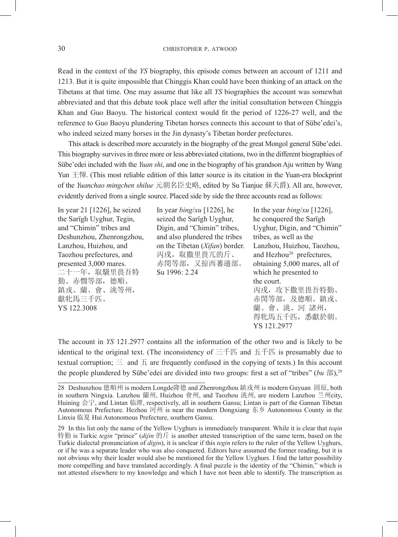Read in the context of the *YS* biography, this episode comes between an account of 1211 and 1213. But it is quite impossible that Chinggis Khan could have been thinking of an attack on the Tibetans at that time. One may assume that like all *YS* biographies the account was somewhat abbreviated and that this debate took place well after the initial consultation between Chinggis Khan and Guo Baoyu. The historical context would fit the period of 1226-27 well, and the reference to Guo Baoyu plundering Tibetan horses connects this account to that of Sübe'edei's, who indeed seized many horses in the Jin dynasty's Tibetan border prefectures.

This attack is described more accurately in the biography of the great Mongol general Sübe'edei. This biography survives in three more or less abbreviated citations, two in the different biographies of Sübe'edei included with the *Yuan shi*, and one in the biography of his grandson Aju written by Wang Yun 王惲. (This most reliable edition of this latter source is its citation in the Yuan-era blockprint of the *Yuanchao mingchen shilue* 元朝名臣史略, edited by Su Tianjue 蘇天爵). All are, however, evidently derived from a single source. Placed side by side the three accounts read as follows:

Deshunzhou, Zhenrongzhou, and also plundered the tribes 二十一年,取馺里畏吾特 Su 1996: 2.24 which he presented to 勤、赤憫等部,德順、<br>鎮戎、蘭、會、洮等州, はっているのはないです。 あったんかい 獻牝馬三千匹。 赤閔等部,及德順、鎮戎、 YS 122.3008 蘭、會、洮、河 諸州,

In year 21 [1226], he seized In year *bing*/*xu* [1226], he In the year *bing*/*xu* [1226], the Sarïgh Uyghur, Tegin, seized the Sarïgh Uyghur, he conquered the Sarïgh and "Chimin" tribes and Digin, and "Chimin" tribes, Uyghur, Digin, and "Chimin" Deshunzhou. Zhenrongzhou, and also plundered the tribes tribes, as well as the Lanzhou, Huizhou, and on the Tibetan (*Xifan*) border. Lanzhou, Huizhou, Taozhou, Taozhou prefectures, and 丙戌, 取撒里畏兀的斤、 and Hezhou<sup>28</sup> prefectures, presented 3,000 mares. 赤閔等部,又掠西蕃邊部。 obtaining 5,000 mares, all of

丙戌, 攻下撒里畏吾特勤、 得牝馬五千匹,悉獻於朝。 YS 121.2977

The account in *YS* 121.2977 contains all the information of the other two and is likely to be identical to the original text. (The inconsistency of 三千匹 and 五千匹 is presumably due to textual corruption;  $\equiv$  and  $\bar{H}$  are frequently confused in the copying of texts.) In this account the people plundered by Sübe'edei are divided into two groups: first a set of "tribes" (*bu* 部),29

<sup>28</sup> Deshunzhou 德順州 is modern Longde隆德 and Zhenrongzhou 鎮戎州 is modern Guyuan 固原, both in southern Ningxia. Lanzhou 蘭州, Huizhou 會州, and Taozhou 洮州, are modern Lanzhou 兰州city, Huining 会宁, and Lintan 临潭, respectively, all in southern Gansu; Lintan is part of the Gannan Tibetan Autonomous Prefecture. Hezhou 河州 is near the modern Dongxiang 东乡 Autonomous County in the Linxia 临夏 Hui Autonomous Prefecture, southern Gansu.

<sup>29</sup> In this list only the name of the Yellow Uyghurs is immediately transparent. While it is clear that *teqin* 特勤 is Turkic *tegin* "prince" (*dijin* 的斤 is another attested transcription of the same term, based on the Turkic dialectal pronunciation of *digin*), it is unclear if this *tegin* refers to the ruler of the Yellow Uyghurs, or if he was a separate leader who was also conquered. Editors have assumed the former reading, but it is not obvious why their leader would also be mentioned for the Yellow Uyghurs. I find the latter possibility more compelling and have translated accordingly. A final puzzle is the identity of the "Chimin," which is not attested elsewhere to my knowledge and which I have not been able to identify. The transcription as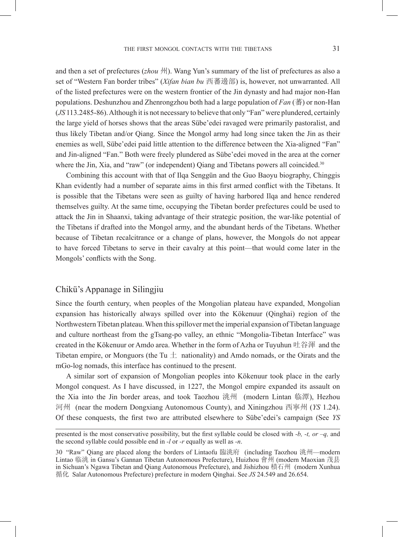and then a set of prefectures (*zhou* 州). Wang Yun's summary of the list of prefectures as also a set of "Western Fan border tribes" (*Xifan bian bu* 西蕃邊部) is, however, not unwarranted. All of the listed prefectures were on the western frontier of the Jin dynasty and had major non-Han populations. Deshunzhou and Zhenrongzhou both had a large population of *Fan* (蕃) or non-Han (*JS* 113.2485-86). Although it is not necessary to believe that only "Fan" were plundered, certainly the large yield of horses shows that the areas Sübe'edei ravaged were primarily pastoralist, and thus likely Tibetan and/or Qiang. Since the Mongol army had long since taken the Jin as their enemies as well, Sübe'edei paid little attention to the difference between the Xia-aligned "Fan" and Jin-aligned "Fan." Both were freely plundered as Sübe'edei moved in the area at the corner where the Jin, Xia, and "raw" (or independent) Qiang and Tibetans powers all coincided.<sup>30</sup>

Combining this account with that of Ilqa Senggün and the Guo Baoyu biography, Chinggis Khan evidently had a number of separate aims in this first armed conflict with the Tibetans. It is possible that the Tibetans were seen as guilty of having harbored Ilqa and hence rendered themselves guilty. At the same time, occupying the Tibetan border prefectures could be used to attack the Jin in Shaanxi, taking advantage of their strategic position, the war-like potential of the Tibetans if drafted into the Mongol army, and the abundant herds of the Tibetans. Whether because of Tibetan recalcitrance or a change of plans, however, the Mongols do not appear to have forced Tibetans to serve in their cavalry at this point—that would come later in the Mongols' conflicts with the Song.

#### Chikü's Appanage in Silingjiu

Since the fourth century, when peoples of the Mongolian plateau have expanded, Mongolian expansion has historically always spilled over into the Kökenuur (Qinghai) region of the Northwestern Tibetan plateau. When this spillover met the imperial expansion of Tibetan language and culture northeast from the gTsang-po valley, an ethnic "Mongolia-Tibetan Interface" was created in the Kökenuur or Amdo area. Whether in the form of Azha or Tuyuhun 吐谷渾 and the Tibetan empire, or Monguors (the Tu  $\pm$  nationality) and Amdo nomads, or the Oirats and the mGo-log nomads, this interface has continued to the present.

A similar sort of expansion of Mongolian peoples into Kökenuur took place in the early Mongol conquest. As I have discussed, in 1227, the Mongol empire expanded its assault on the Xia into the Jin border areas, and took Taozhou 洮州 (modern Lintan 临潭), Hezhou 河州 (near the modern Dongxiang Autonomous County), and Xiningzhou 西寧州 (*YS* 1.24). Of these conquests, the first two are attributed elsewhere to Sübe'edei's campaign (See *YS* 

presented is the most conservative possibility, but the first syllable could be closed with *-b, -t, or –q,* and the second syllable could possible end in *-l* or *-r* equally as well as *-n*.

<sup>30</sup> "Raw" Qiang are placed along the borders of Lintaofu 臨洮府 (including Taozhou 洮州—modern Lintao 临洮 in Gansu's Gannan Tibetan Autonomous Prefecture), Huizhou 會州 (modern Maoxian 茂县 in Sichuan's Ngawa Tibetan and Qiang Autonomous Prefecture), and Jishizhou 積石州 (modern Xunhua 循化 Salar Autonomous Prefecture) prefecture in modern Qinghai. See *JS* 24.549 and 26.654.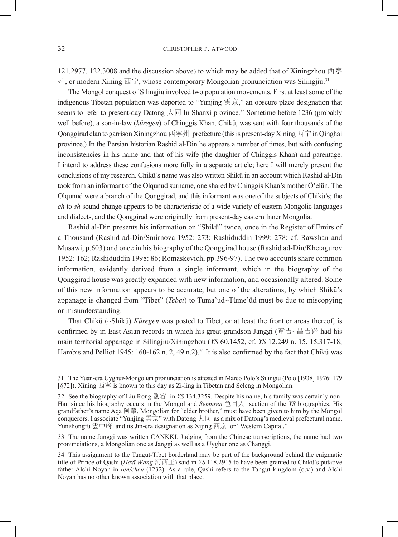121.2977, 122.3008 and the discussion above) to which may be added that of Xiningzhou 西寧 州, or modern Xining 西宁, whose contemporary Mongolian pronunciation was Silingjiu.31

The Mongol conquest of Silingjiu involved two population movements. First at least some of the indigenous Tibetan population was deported to "Yunjing 雲京," an obscure place designation that seems to refer to present-day Datong 大同 In Shanxi province.32 Sometime before 1236 (probably well before), a son-in-law (*küregen*) of Chinggis Khan, Chikü, was sent with four thousands of the Qonggirad clan to garrison Xiningzhou 西寧州 prefecture (this is present-day Xining 西宁 in Qinghai province.) In the Persian historian Rashid al-Din he appears a number of times, but with confusing inconsistencies in his name and that of his wife (the daughter of Chinggis Khan) and parentage. I intend to address these confusions more fully in a separate article; here I will merely present the conclusions of my research. Chikü's name was also written Shikü in an account which Rashid al-Din took from an informant of the Olqunud surname, one shared by Chinggis Khan's mother Ö'elün. The Olqunud were a branch of the Qonggirad, and this informant was one of the subjects of Chikü's; the *ch* to *sh* sound change appears to be characteristic of a wide variety of eastern Mongolic languages and dialects, and the Qonggirad were originally from present-day eastern Inner Mongolia.

Rashid al-Din presents his information on "Shikü" twice, once in the Register of Emirs of a Thousand (Rashid ad-Din/Smirnova 1952: 273; Rashiduddin 1999: 278; cf. Rawshan and Musawi, p.603) and once in his biography of the Qonggirad house (Rashid ad-Din/Khetagurov 1952: 162; Rashiduddin 1998: 86; Romaskevich, pp.396-97). The two accounts share common information, evidently derived from a single informant, which in the biography of the Qonggirad house was greatly expanded with new information, and occasionally altered. Some of this new information appears to be accurate, but one of the alterations, by which Shikü's appanage is changed from "Tibet" (*Tebet*) to Tuma'ud~Tüme'üd must be due to miscopying or misunderstanding.

That Chikü (~Shikü) *Küregen* was posted to Tibet, or at least the frontier areas thereof, is confirmed by in East Asian records in which his great-grandson Janggi (章吉~昌吉)<sup>33</sup> had his main territorial appanage in Silingjiu/Xiningzhou (*YS* 60.1452, cf. *YS* 12.249 n. 15, 15.317-18; Hambis and Pelliot 1945: 160-162 n. 2, 49 n.2).<sup>34</sup> It is also confirmed by the fact that Chikü was

<sup>31</sup> The Yuan-era Uyghur-Mongolian pronunciation is attested in Marco Polo's Silingiu (Polo [1938] 1976: 179 [§72]). Xīníng 西寧 is known to this day as Zi-ling in Tibetan and Seleng in Mongolian.

<sup>32</sup> See the biography of Liu Rong 劉容 in *YS* 134.3259. Despite his name, his family was certainly non-Han since his biography occurs in the Mongol and *Semuren* 色目人 section of the *YS* biographies. His grandfather's name Aqa 阿華, Mongolian for "elder brother," must have been given to him by the Mongol conquerors. I associate "Yunjing 雲京" with Datong 大同 as a mix of Datong's medieval prefectural name, Yunzhongfu 雲中府 and its Jin-era designation as Xijing 西京 or "Western Capital."

<sup>33</sup> The name Janggi was written CANKKI. Judging from the Chinese transcriptions, the name had two pronunciations, a Mongolian one as Janggi as well as a Uyghur one as Changgi.

<sup>34</sup> This assignment to the Tangut-Tibet borderland may be part of the background behind the enigmatic title of Prince of Qashi (*Héxī Wáng* 河西王) said in *YS* 118.2915 to have been granted to Chikü's putative father Alchi Noyan in *ren/chen* (1232). As a rule, Qashi refers to the Tangut kingdom (q.v.) and Alchi Noyan has no other known association with that place.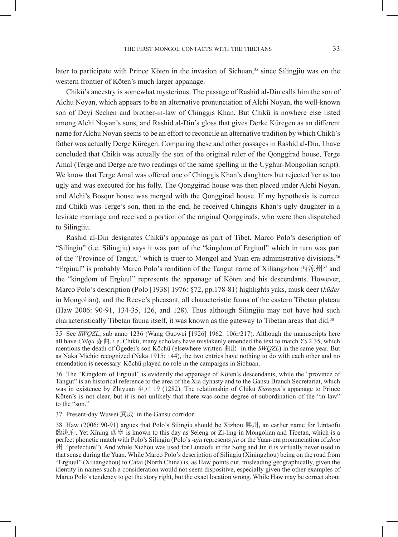later to participate with Prince Köten in the invasion of Sichuan, $35$  since Silingjiu was on the western frontier of Köten's much larger appanage.

Chikü's ancestry is somewhat mysterious. The passage of Rashid al-Din calls him the son of Alchu Noyan, which appears to be an alternative pronunciation of Alchi Noyan, the well-known son of Deyi Sechen and brother-in-law of Chinggis Khan. But Chikü is nowhere else listed among Alchi Noyan's sons, and Rashid al-Din's gloss that gives Derke Küregen as an different name for Alchu Noyan seems to be an effort to reconcile an alternative tradition by which Chikü's father was actually Derge Küregen. Comparing these and other passages in Rashid al-Din, I have concluded that Chikü was actually the son of the original ruler of the Qonggirad house, Terge Amal (Terge and Derge are two readings of the same spelling in the Uyghur-Mongolian script). We know that Terge Amal was offered one of Chinggis Khan's daughters but rejected her as too ugly and was executed for his folly. The Qonggirad house was then placed under Alchi Noyan, and Alchi's Bosqur house was merged with the Qonggirad house. If my hypothesis is correct and Chikü was Terge's son, then in the end, he received Chinggis Khan's ugly daughter in a levirate marriage and received a portion of the original Qonggirads, who were then dispatched to Silingjiu.

Rashid al-Din designates Chikü's appanage as part of Tibet. Marco Polo's description of "Silingiu" (i.e. Silingjiu) says it was part of the "kingdom of Ergiuul" which in turn was part of the "Province of Tangut," which is truer to Mongol and Yuan era administrative divisions.<sup>36</sup> "Ergiuul" is probably Marco Polo's rendition of the Tangut name of Xiliangzhou 西涼州<sup>37</sup> and the "kingdom of Ergiuul" represents the appanage of Köten and his descendants. However, Marco Polo's description (Polo [1938] 1976: §72, pp.178-81) highlights yaks, musk deer (*küder* in Mongolian), and the Reeve's pheasant, all characteristic fauna of the eastern Tibetan plateau (Haw 2006: 90-91, 134-35, 126, and 128). Thus although Silingjiu may not have had such characteristically Tibetan fauna itself, it was known as the gateway to Tibetan areas that did.38

36 The "Kingdom of Ergiuul" is evidently the appanage of Köten's descendants, while the "province of Tangut" is an historical reference to the area of the Xia dynasty and to the Gansu Branch Secretariat, which was in existence by Zhiyuan 至元 19 (1282). The relationship of Chikü *Küregen*'s appanage to Prince Köten's is not clear, but it is not unlikely that there was some degree of subordination of the "in-law" to the "son."

37 Present-day Wuwei 武威 in the Gansu corridor.

<sup>35</sup> See *SWQZL*, sub anno 1236 (Wang Guowei [1926] 1962: 106r/217). Although the manuscripts here all have *Chiqu* 赤曲, i.e. Chikü, many scholars have mistakenly emended the text to match *YS* 2.35, which mentions the death of Ögedei's son Köchü (elsewhere written 曲出 in the *SWQZL*) in the same year. But as Naka Michio recognized (Naka 1915: 144), the two entries have nothing to do with each other and no emendation is necessary. Köchü played no role in the campaigns in Sichuan.

<sup>38</sup> Haw (2006: 90-91) argues that Polo's Silingiu should be Xizhou 熙州, an earlier name for Lintaofu 臨洮府. Yet Xīníng 西寧 is known to this day as Seleng or Zi-ling in Mongolian and Tibetan, which is a perfect phonetic match with Polo's Silingiu (Polo's *-giu* represents *jiu* or the Yuan-era pronunciation of *zhou* 州 "prefecture"). And while Xizhou was used for Lintaofu in the Song and Jin it is virtually never used in that sense during the Yuan. While Marco Polo's description of Silingiu (Xiningzhou) being on the road from "Ergiuul" (Xiliangzhou) to Catai (North China) is, as Haw points out, misleading geographically, given the identity in names such a consideration would not seem dispositive, especially given the other examples of Marco Polo's tendency to get the story right, but the exact location wrong. While Haw may be correct about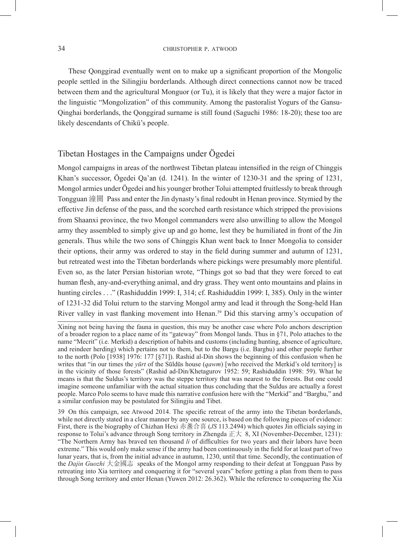#### 34 CHRISTOPHER P. ATWOOD

These Qonggirad eventually went on to make up a significant proportion of the Mongolic people settled in the Silingjiu borderlands. Although direct connections cannot now be traced between them and the agricultural Monguor (or Tu), it is likely that they were a major factor in the linguistic "Mongolization" of this community. Among the pastoralist Yogurs of the Gansu-Qinghai borderlands, the Qonggirad surname is still found (Saguchi 1986: 18-20); these too are likely descendants of Chikü's people.

#### Tibetan Hostages in the Campaigns under Ögedei

Mongol campaigns in areas of the northwest Tibetan plateau intensified in the reign of Chinggis Khan's successor, Ögedei Qa'an (d. 1241). In the winter of 1230-31 and the spring of 1231, Mongol armies under Ögedei and his younger brother Tolui attempted fruitlessly to break through Tongguan 潼關 Pass and enter the Jin dynasty's final redoubt in Henan province. Stymied by the effective Jin defense of the pass, and the scorched earth resistance which stripped the provisions from Shaanxi province, the two Mongol commanders were also unwilling to allow the Mongol army they assembled to simply give up and go home, lest they be humiliated in front of the Jin generals. Thus while the two sons of Chinggis Khan went back to Inner Mongolia to consider their options, their army was ordered to stay in the field during summer and autumn of 1231, but retreated west into the Tibetan borderlands where pickings were presumably more plentiful. Even so, as the later Persian historian wrote, "Things got so bad that they were forced to eat human flesh, any-and-everything animal, and dry grass. They went onto mountains and plains in hunting circles . . ." (Rashiduddin 1999: I, 314; cf. Rashiduddin 1999: I, 385). Only in the winter of 1231-32 did Tolui return to the starving Mongol army and lead it through the Song-held Han River valley in vast flanking movement into Henan.39 Did this starving army's occupation of

39 On this campaign, see Atwood 2014. The specific retreat of the army into the Tibetan borderlands, while not directly stated in a clear manner by any one source, is based on the following pieces of evidence: First, there is the biography of Chizhan Hexi 赤盞合喜 (*JS* 113.2494) which quotes Jin officials saying in response to Tolui's advance through Song territory in Zhengda 正大 8, XI (November-December, 1231): "The Northern Army has braved ten thousand *li* of difficulties for two years and their labors have been extreme." This would only make sense if the army had been continuously in the field for at least part of two lunar years, that is, from the initial advance in autumn, 1230, until that time. Secondly, the continuation of the *Dajin Guozhi* 大金國志 speaks of the Mongol army responding to their defeat at Tongguan Pass by retreating into Xia territory and conquering it for "several years" before getting a plan from them to pass through Song territory and enter Henan (Yuwen 2012: 26.362). While the reference to conquering the Xia

Xining not being having the fauna in question, this may be another case where Polo anchors description of a broader region to a place name of its "gateway" from Mongol lands. Thus in §71, Polo attaches to the name "Mecrit" (i.e. Merkid) a description of habits and customs (including hunting, absence of agriculture, and reindeer herding) which pertains not to them, but to the Bargu (i.e. Barghu) and other people further to the north (Polo [1938] 1976: 177 [§71]). Rashid al-Din shows the beginning of this confusion when he writes that "in our times the *yūrt* of the Sūldūs house (*qawm*) [who received the Merkid's old territory] is in the vicinity of those forests" (Rashid ad-Din/Khetagurov 1952: 59; Rashiduddin 1998: 59). What he means is that the Suldus's territory was the steppe territory that was nearest to the forests. But one could imagine someone unfamiliar with the actual situation thus concluding that the Suldus are actually a forest people. Marco Polo seems to have made this narrative confusion here with the "Merkid" and "Barghu," and a similar confusion may be postulated for Silingjiu and Tibet.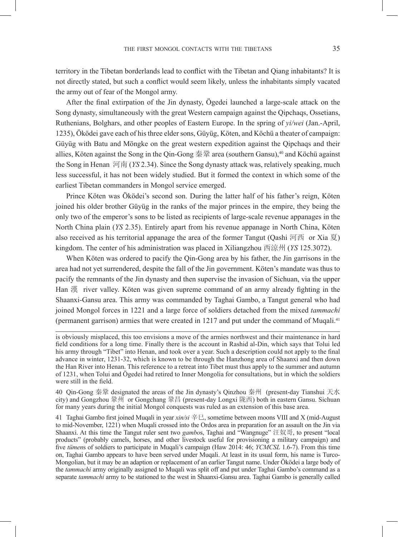territory in the Tibetan borderlands lead to conflict with the Tibetan and Qiang inhabitants? It is not directly stated, but such a conflict would seem likely, unless the inhabitants simply vacated the army out of fear of the Mongol army.

After the final extirpation of the Jin dynasty, Ögedei launched a large-scale attack on the Song dynasty, simultaneously with the great Western campaign against the Qipchaqs, Ossetians, Ruthenians, Bolghars, and other peoples of Eastern Europe. In the spring of *yi/wei* (Jan.-April, 1235), Öködei gave each of his three elder sons, Güyüg, Köten, and Köchü a theater of campaign: Güyüg with Batu and Möngke on the great western expedition against the Qipchaqs and their allies, Köten against the Song in the Oin-Gong 秦鞏 area (southern Gansu),<sup>40</sup> and Köchü against the Song in Henan 河南 (*YS* 2.34). Since the Song dynasty attack was, relatively speaking, much less successful, it has not been widely studied. But it formed the context in which some of the earliest Tibetan commanders in Mongol service emerged.

Prince Köten was Öködei's second son. During the latter half of his father's reign, Köten joined his older brother Güyüg in the ranks of the major princes in the empire, they being the only two of the emperor's sons to be listed as recipients of large-scale revenue appanages in the North China plain (*YS* 2.35). Entirely apart from his revenue appanage in North China, Köten also received as his territorial appanage the area of the former Tangut (Qashi 河西 or Xia 夏) kingdom. The center of his administration was placed in Xiliangzhou 西涼州 (*YS* 125.3072).

When Köten was ordered to pacify the Qin-Gong area by his father, the Jin garrisons in the area had not yet surrendered, despite the fall of the Jin government. Köten's mandate was thus to pacify the remnants of the Jin dynasty and then supervise the invasion of Sichuan, via the upper Han 漢 river valley. Köten was given supreme command of an army already fighting in the Shaanxi-Gansu area. This army was commanded by Taghai Gambo, a Tangut general who had joined Mongol forces in 1221 and a large force of soldiers detached from the mixed *tammachi* (permanent garrison) armies that were created in 1217 and put under the command of Muqali.41

40 Qin-Gong 秦鞏 designated the areas of the Jin dynasty's Qinzhou 秦州 (present-day Tianshui 天水 city) and Gongzhou 鞏州 or Gongchang 鞏昌 (present-day Longxi 陇西) both in eastern Gansu. Sichuan for many years during the initial Mongol conquests was ruled as an extension of this base area.

41 Taghai Gambo first joined Muqali in year *xin/si* 辛巳, sometime between moons VIII and X (mid-August to mid-November, 1221) when Muqali crossed into the Ordos area in preparation for an assault on the Jin via Shaanxi. At this time the Tangut ruler sent two *gambo*s, Taghai and "Wangnuge" 汪奴哥, to present "local products" (probably camels, horses, and other livestock useful for provisioning a military campaign) and five *tümen*s of soldiers to participate in Muqali's campaign (Haw 2014: 46; *YCMCSL* 1.6-7). From this time on, Taghai Gambo appears to have been served under Muqali. At least in its usual form, his name is Turco-Mongolian, but it may be an adaption or replacement of an earlier Tangut name. Under Öködei a large body of the *tammachi* army originally assigned to Muqali was split off and put under Taghai Gambo's command as a separate *tammachi* army to be stationed to the west in Shaanxi-Gansu area. Taghai Gambo is generally called

is obviously misplaced, this too envisions a move of the armies northwest and their maintenance in hard field conditions for a long time. Finally there is the account in Rashid al-Din, which says that Tolui led his army through "Tibet" into Henan, and took over a year. Such a description could not apply to the final advance in winter, 1231-32, which is known to be through the Hanzhong area of Shaanxi and then down the Han River into Henan. This reference to a retreat into Tibet must thus apply to the summer and autumn of 1231, when Tolui and Ögedei had retired to Inner Mongolia for consultations, but in which the soldiers were still in the field.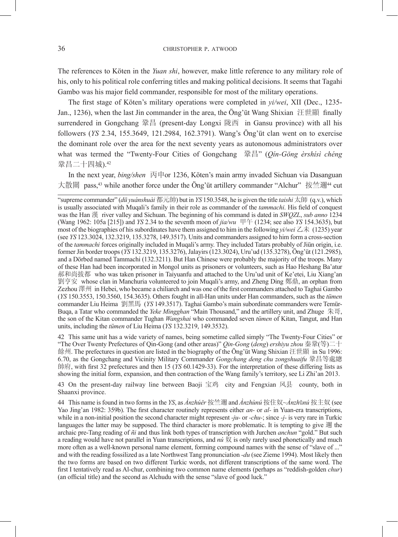The references to Köten in the *Yuan shi*, however, make little reference to any military role of his, only to his political role conferring titles and making political decisions. It seems that Tagahi Gambo was his major field commander, responsible for most of the military operations.

The first stage of Köten's military operations were completed in *yi/wei*, XII (Dec., 1235- Jan., 1236), when the last Jin commander in the area, the Öng'üt Wang Shixian 汪世顯 finally surrendered in Gongchang 鞏昌 (present-day Longxi 陇西 in Gansu province) with all his followers (*YS* 2.34, 155.3649, 121.2984, 162.3791). Wang's Öng'üt clan went on to exercise the dominant role over the area for the next seventy years as autonomous administrators over what was termed the "Twenty-Four Cities of Gongchang 鞏昌" (*Qín-Gǒng èrshísì chéng*  鞏昌二十四城).42

In the next year, *bing/shen* 丙申or 1236, Köten's main army invaded Sichuan via Dasanguan 大散關 pass,43 while another force under the Öng'üt artillery commander "Alchur" 按竺邇44 cut

42 This same unit has a wide variety of names, being sometime called simply "The Twenty-Four Cities" or "The Over Twenty Prefectures of Qin-Gong (and other areas)" *Qin-Gong* (*deng*) *ershiyu zhou* 秦鞏(等)二十 餘州. The prefectures in question are listed in the biography of the Öng'üt Wang Shixian 汪世顯 in Su 1996: 6.70, as the Gongchang and Vicinity Military Commander *Gongchang deng chu zongshuaifu* 鞏昌等處總 帥府, with first 32 prefectures and then 15 (*YS* 60.1429-33). For the interpretation of these differing lists as showing the initial form, expansion, and then contraction of the Wang family's territory, see Li Zhi'an 2013.

43 On the present-day railway line between Baoji 宝鸡 city and Fengxian 风县 county, both in Shaanxi province.

44 This name is found in two forms in the *YS*, as *Ànzhúěr* 按竺邇 and *Ànzhùnú* 按住奴~*Ànzh*ǔ*nú* 按主奴 (see Yao Jing'an 1982: 359b). The first character routinely represents either *an-* or *al-* in Yuan-era transcriptions, while in a non-initial position the second character might represent *-ju-* or *-chu-*; since *-j-* is very rare in Turkic languages the latter may be supposed. The third character is more problematic. It is tempting to give 週 the archaic pre-Tang reading of *ñi* and thus link both types of transcription with Jurchen *anchun* "gold." But such a reading would have not parallel in Yuan transcriptions, and *nú* 奴 is only rarely used phonetically and much more often as a well-known personal name element, forming compound names with the sense of "slave of ..." and with the reading fossilized as a late Northwest Tang pronunciation *-du* (see Zieme 1994). Most likely then the two forms are based on two different Turkic words, not different transcriptions of the same word. The first I tentatively read as Al-chur, combining two common name elements (perhaps as "reddish-golden *chur*) (an official title) and the second as Alchudu with the sense "slave of good luck."

<sup>&</sup>quot;supreme commander" (*dū yuánshuài* 都元帥) but in *YS* 150.3548, he is given the title *taishi* 太師 (q.v.), which is usually associated with Muqali's family in their role as commander of the *tammachi*. His field of conquest was the Han 漢 river valley and Sichuan. The beginning of his command is dated in *SWQZL*, *sub anno* 1234 (Wang 1962: 105a [215]) and *YS* 2.34 to the seventh moon of *jia/wu* 甲午 (1234; see also *YS* 154.3635), but most of the biographies of his subordinates have them assigned to him in the following *yi/wei*  $\mathbb{Z}$   $\ddot{\uparrow}$  (1235) year (see *YS* 123.3024, 132.3219, 135.3278, 149.3517). Units and commanders assigned to him form a cross-section of the *tammachi* forces originally included in Muqali's army. They included Tatars probably of Jiün origin, i.e. former Jin border troops (*YS* 132.3219, 135.3276), Jalayirs (123.3024), Uru'ud (135.3278), Öng'üt (121.2985), and a Dörbed named Tammachi (132.3211). But Han Chinese were probably the majority of the troops. Many of these Han had been incorporated in Mongol units as prisoners or volunteers, such as Hao Heshang Ba'atur 郝和尚拔都 who was taken prisoner in Taiyuanfu and attached to the Uru'ud unit of Ke'etei, Liu Xiang'an 劉亨安 whose clan in Manchuria volunteered to join Muqali's army, and Zheng Ding 鄭鼎, an orphan from Zezhou 澤州 in Hebei, who became a chiliarch and was one of the first commanders attached to Taghai Gambo (*YS* 150.3553, 150.3560, 154.3635). Others fought in all-Han units under Han commanders, such as the *tümen*  commander Liu Heima 劉黑馬 (*YS* 149.3517). Taghai Gambo's main subordinate commanders were Temür-Buqa, a Tatar who commanded the *Yeke Mingghan* "Main Thousand," and the artillery unit, and Zhuge 朱哥, the son of the Kitan commander Tughan *Wangshai* who commanded seven *tümen* of Kitan, Tangut, and Han units, including the *tümen* of Liu Heima (*YS* 132.3219, 149.3532).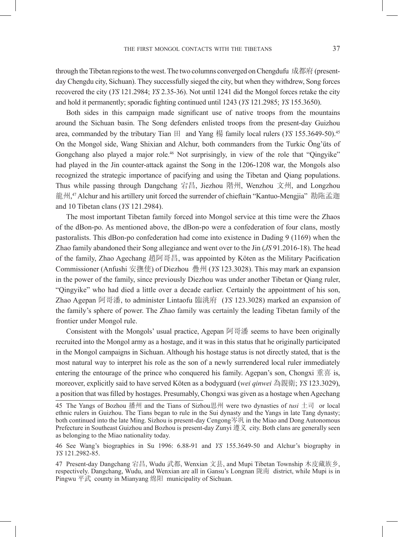through the Tibetan regions to the west. The two columns converged on Chengdufu 成都府 (presentday Chengdu city, Sichuan). They successfully sieged the city, but when they withdrew, Song forces recovered the city (*YS* 121.2984; *YS* 2.35-36). Not until 1241 did the Mongol forces retake the city and hold it permanently; sporadic fighting continued until 1243 (*YS* 121.2985; *YS* 155.3650).

Both sides in this campaign made significant use of native troops from the mountains around the Sichuan basin. The Song defenders enlisted troops from the present-day Guizhou area, commanded by the tributary Tian  $\boxplus$  and Yang 杨 family local rulers (*YS* 155.3649-50).<sup>45</sup> On the Mongol side, Wang Shixian and Alchur, both commanders from the Turkic Öng'üts of Gongchang also played a major role.<sup>46</sup> Not surprisingly, in view of the role that "Qingyike" had played in the Jin counter-attack against the Song in the 1206-1208 war, the Mongols also recognized the strategic importance of pacifying and using the Tibetan and Qiang populations. Thus while passing through Dangchang 宕昌, Jiezhou 階州, Wenzhou 文州, and Longzhou 龍州,47 Alchur and his artillery unit forced the surrender of chieftain "Kantuo-Mengjia"勘陁孟迦 and 10 Tibetan clans (*YS* 121.2984).

The most important Tibetan family forced into Mongol service at this time were the Zhaos of the dBon-po. As mentioned above, the dBon-po were a confederation of four clans, mostly pastoralists. This dBon-po confederation had come into existence in Dading 9 (1169) when the Zhao family abandoned their Song allegiance and went over to the Jin (*JS* 91.2016-18). The head of the family, Zhao Agechang 趙阿哥昌, was appointed by Köten as the Military Pacification Commissioner (Anfushi 安撫使) of Diezhou 疊州 (*YS* 123.3028). This may mark an expansion in the power of the family, since previously Diezhou was under another Tibetan or Qiang ruler, "Qingyike" who had died a little over a decade earlier. Certainly the appointment of his son, Zhao Agepan 阿哥潘, to administer Lintaofu 臨洮府 (*YS* 123.3028) marked an expansion of the family's sphere of power. The Zhao family was certainly the leading Tibetan family of the frontier under Mongol rule.

Consistent with the Mongols' usual practice, Agepan 阿哥潘 seems to have been originally recruited into the Mongol army as a hostage, and it was in this status that he originally participated in the Mongol campaigns in Sichuan. Although his hostage status is not directly stated, that is the most natural way to interpret his role as the son of a newly surrendered local ruler immediately entering the entourage of the prince who conquered his family. Agepan's son, Chongxi 重喜 is, moreover, explicitly said to have served Köten as a bodyguard (*wei qinwei* 為親衛; *YS* 123.3029), a position that was filled by hostages. Presumably, Chongxi was given as a hostage when Agechang

<sup>45</sup> The Yangs of Bozhou 播州 and the Tians of Sizhou思州 were two dynasties of *tusi* 土司 or local ethnic rulers in Guizhou. The Tians began to rule in the Sui dynasty and the Yangs in late Tang dynasty; both continued into the late Ming. Sizhou is present-day Cengong岑巩 in the Miao and Dong Autonomous Prefecture in Southeast Guizhou and Bozhou is present-day Zunyi 遵义 city. Both clans are generally seen as belonging to the Miao nationality today.

<sup>46</sup> See Wang's biographies in Su 1996: 6.88-91 and *YS* 155.3649-50 and Alchur's biography in *YS* 121.2982-85.

<sup>47</sup> Present-day Dangchang 宕昌, Wudu 武都, Wenxian 文县, and Mupi Tibetan Township 木皮藏族乡, respectively. Dangchang, Wudu, and Wenxian are all in Gansu's Longnan 陇南 district, while Mupi is in Pingwu 平武 county in Mianyang 绵阳 municipality of Sichuan.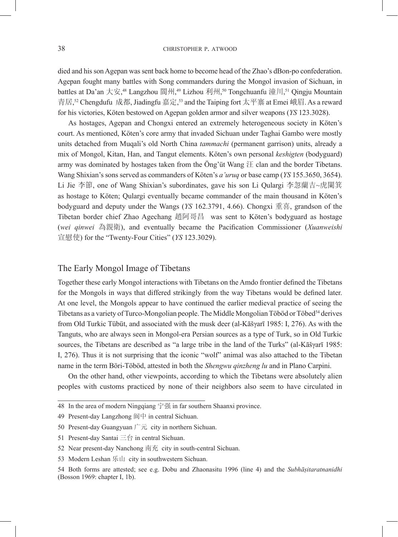died and his son Agepan was sent back home to become head of the Zhao's dBon-po confederation. Agepan fought many battles with Song commanders during the Mongol invasion of Sichuan, in battles at Da'an 大安,<sup>48</sup> Langzhou 閬州,<sup>49</sup> Lizhou 利州,<sup>50</sup> Tongchuanfu 潼川,<sup>51</sup> Qingju Mountain 青居,<sup>s2</sup> Chengdufu 成都, Jiadingfu 嘉定,<sup>s3</sup> and the Taiping fort 太平寨 at Emei 峨眉. As a reward for his victories, Köten bestowed on Agepan golden armor and silver weapons (*YS* 123.3028).

As hostages, Agepan and Chongxi entered an extremely heterogeneous society in Köten's court. As mentioned, Köten's core army that invaded Sichuan under Taghai Gambo were mostly units detached from Muqali's old North China *tammachi* (permanent garrison) units, already a mix of Mongol, Kitan, Han, and Tangut elements. Köten's own personal *keshigten* (bodyguard) army was dominated by hostages taken from the Öng'üt Wang  $\mathcal{F}$  clan and the border Tibetans. Wang Shixian's sons served as commanders of Köten's *a'uruq* or base camp (*YS* 155.3650, 3654). Li Jie 李節, one of Wang Shixian's subordinates, gave his son Li Qulargi 李忽蘭吉~虎闌箕 as hostage to Köten; Qulargi eventually became commander of the main thousand in Köten's bodyguard and deputy under the Wangs (*YS* 162.3791, 4.66). Chongxi 重喜, grandson of the Tibetan border chief Zhao Agechang 趙阿哥昌 was sent to Köten's bodyguard as hostage (*wei qinwei* 為親衛), and eventually became the Pacification Commissioner (*Xuanweishi*  宣慰使) for the "Twenty-Four Cities" (*YS* 123.3029).

#### The Early Mongol Image of Tibetans

Together these early Mongol interactions with Tibetans on the Amdo frontier defined the Tibetans for the Mongols in ways that differed strikingly from the way Tibetans would be defined later. At one level, the Mongols appear to have continued the earlier medieval practice of seeing the Tibetans as a variety of Turco-Mongolian people. The Middle Mongolian Töböd or Töbed<sup>54</sup> derives from Old Turkic Tübüt, and associated with the musk deer (al-Kāšγarī 1985: I, 276). As with the Tanguts, who are always seen in Mongol-era Persian sources as a type of Turk, so in Old Turkic sources, the Tibetans are described as "a large tribe in the land of the Turks" (al-Kāšγarī 1985: I, 276). Thus it is not surprising that the iconic "wolf" animal was also attached to the Tibetan name in the term Böri-Töböd, attested in both the *Shengwu qinzheng lu* and in Plano Carpini.

On the other hand, other viewpoints, according to which the Tibetans were absolutely alien peoples with customs practiced by none of their neighbors also seem to have circulated in

- 51 Present-day Santai 三台 in central Sichuan.
- 52 Near present-day Nanchong 南充 city in south-central Sichuan.

<sup>48</sup> In the area of modern Ningqiang 宁强 in far southern Shaanxi province.

<sup>49</sup> Present-day Langzhong 阆中 in central Sichuan.

<sup>50</sup> Present-day Guangyuan  $\Gamma \bar{\pi}$  city in northern Sichuan.

<sup>53</sup> Modern Leshan 乐山 city in southwestern Sichuan.

<sup>54</sup> Both forms are attested; see e.g. Dobu and Zhaonasitu 1996 (line 4) and the *Subhāṣitaratnanidhi* (Bosson 1969: chapter I, 1b).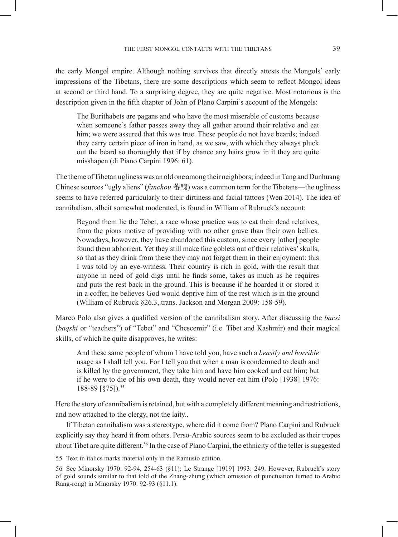the early Mongol empire. Although nothing survives that directly attests the Mongols' early impressions of the Tibetans, there are some descriptions which seem to reflect Mongol ideas at second or third hand. To a surprising degree, they are quite negative. Most notorious is the description given in the fifth chapter of John of Plano Carpini's account of the Mongols:

The Burithabets are pagans and who have the most miserable of customs because when someone's father passes away they all gather around their relative and eat him; we were assured that this was true. These people do not have beards; indeed they carry certain piece of iron in hand, as we saw, with which they always pluck out the beard so thoroughly that if by chance any hairs grow in it they are quite misshapen (di Piano Carpini 1996: 61).

The theme of Tibetan ugliness was an old one among their neighbors; indeed in Tang and Dunhuang Chinese sources "ugly aliens" (*fanchou* 蕃醜) was a common term for the Tibetans—the ugliness seems to have referred particularly to their dirtiness and facial tattoos (Wen 2014). The idea of cannibalism, albeit somewhat moderated, is found in William of Rubruck's account:

Beyond them lie the Tebet, a race whose practice was to eat their dead relatives, from the pious motive of providing with no other grave than their own bellies. Nowadays, however, they have abandoned this custom, since every [other] people found them abhorrent. Yet they still make fine goblets out of their relatives' skulls, so that as they drink from these they may not forget them in their enjoyment: this I was told by an eye-witness. Their country is rich in gold, with the result that anyone in need of gold digs until he finds some, takes as much as he requires and puts the rest back in the ground. This is because if he hoarded it or stored it in a coffer, he believes God would deprive him of the rest which is in the ground (William of Rubruck §26.3, trans. Jackson and Morgan 2009: 158-59).

Marco Polo also gives a qualified version of the cannibalism story. After discussing the *bacsi*  (*baqshi* or "teachers") of "Tebet" and "Chescemir" (i.e. Tibet and Kashmir) and their magical skills, of which he quite disapproves, he writes:

And these same people of whom I have told you, have such a *beastly and horrible*  usage as I shall tell you. For I tell you that when a man is condemned to death and is killed by the government, they take him and have him cooked and eat him; but if he were to die of his own death, they would never eat him (Polo [1938] 1976: 188-89 [§75]).55

Here the story of cannibalism is retained, but with a completely different meaning and restrictions, and now attached to the clergy, not the laity..

If Tibetan cannibalism was a stereotype, where did it come from? Plano Carpini and Rubruck explicitly say they heard it from others. Perso-Arabic sources seem to be excluded as their tropes about Tibet are quite different.<sup>56</sup> In the case of Plano Carpini, the ethnicity of the teller is suggested

<sup>55</sup> Text in italics marks material only in the Ramusio edition.

<sup>56</sup> See Minorsky 1970: 92-94, 254-63 (§11); Le Strange [1919] 1993: 249. However, Rubruck's story of gold sounds similar to that told of the Zhang-zhung (which omission of punctuation turned to Arabic Rang-rong) in Minorsky 1970: 92-93 (§11.1).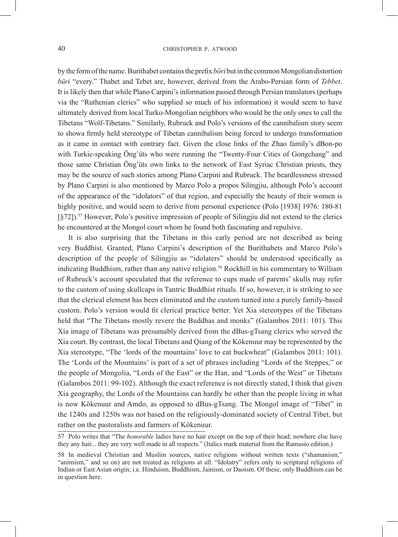by the form of the name. Burithabet contains the prefix *böri* but in the common Mongolian distortion *büri* "every." Thabet and Tebet are, however, derived from the Arabo-Persian form of *Tebbet*. It is likely then that while Plano Carpini's information passed through Persian translators (perhaps via the "Ruthenian clerics" who supplied so much of his information) it would seem to have ultimately derived from local Turko-Mongolian neighbors who would be the only ones to call the Tibetans "Wolf-Tibetans." Similarly, Rubruck and Polo's versions of the cannibalism story seem to showa firmly held stereotype of Tibetan cannibalism being forced to undergo transformation as it came in contact with contrary fact. Given the close links of the Zhao family's dBon-po with Turkic-speaking Öng'üts who were running the "Twenty-Four Cities of Gongchang" and those same Christian Öng'üts own links to the network of East Syriac Christian priests, they may be the source of such stories among Plano Carpini and Rubruck. The beardlessness stressed by Plano Carpini is also mentioned by Marco Polo a propos Silingjiu, although Polo's account of the appearance of the "idolators" of that region, and especially the beauty of their women is highly positive, and would seem to derive from personal experience (Polo [1938] 1976: 180-81 [§72]).57 However, Polo's positive impression of people of Silingjiu did not extend to the clerics he encountered at the Mongol court whom he found both fascinating and repulsive.

It is also surprising that the Tibetans in this early period are not described as being very Buddhist. Granted, Plano Carpini's description of the Burithabets and Marco Polo's description of the people of Silingjiu as "idolaters" should be understood specifically as indicating Buddhism, rather than any native religion.<sup>58</sup> Rockhill in his commentary to William of Rubruck's account speculated that the reference to cups made of parents' skulls may refer to the custom of using skullcaps in Tantric Buddhist rituals. If so, however, it is striking to see that the clerical element has been eliminated and the custom turned into a purely family-based custom. Polo's version would fit clerical practice better. Yet Xia stereotypes of the Tibetans held that "The Tibetans mostly revere the Buddhas and monks" (Galambos 2011: 101). This Xia image of Tibetans was presumably derived from the dBus-gTsang clerics who served the Xia court. By contrast, the local Tibetans and Qiang of the Kökenuur may be represented by the Xia stereotype, "The 'lords of the mountains' love to eat buckwheat" (Galambos 2011: 101). The 'Lords of the Mountains' is part of a set of phrases including "Lords of the Steppes," or the people of Mongolia, "Lords of the East" or the Han, and "Lords of the West" or Tibetans (Galambos 2011: 99-102). Although the exact reference is not directly stated, I think that given Xia geography, the Lords of the Mountains can hardly be other than the people living in what is now Kökenuur and Amdo, as opposed to dBus-gTsang. The Mongol image of "Tibet" in the 1240s and 1250s was not based on the religiously-dominated society of Central Tibet, but rather on the pastoralists and farmers of Kökenuur.

<sup>57</sup> Polo writes that "The *honorable* ladies have no hair except on the top of their head; nowhere else have they any hair... they are very well made in all respects." (Italics mark material from the Ramusio edition.)

<sup>58</sup> In medieval Christian and Muslim sources, native religions without written texts ("shamanism," "animism," and so on) are not treated as religions at all. "Idolatry" refers only to scriptural religions of Indian or East Asian origin; i.e. Hinduism, Buddhism, Jainism, or Daoism. Of these, only Buddhism can be in question here.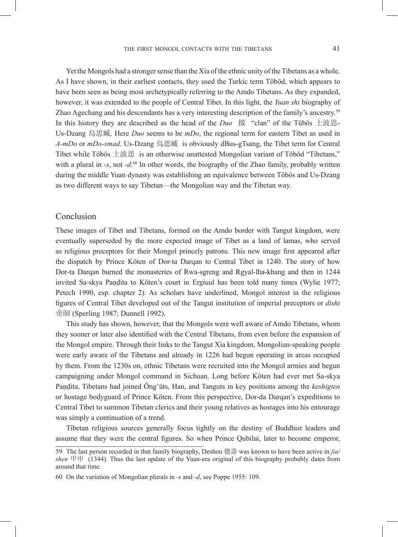Yet the Mongols had a stronger sense than the Xia of the ethnic unity of the Tibetans as a whole. As I have shown, in their earliest contacts, they used the Turkic term Töböd, which appears to have been seen as being most archetypically referring to the Amdo Tibetans. As they expanded, however, it was extended to the people of Central Tibet. In this light, the *Yuan shi* biography of Zhao Agechang and his descendants has a very interesting description of the family's ancestry.59 In this history they are described as the head of the *Duo* 掇 "clan" of the Tübös 土波思-Us-Dzang 烏思臧. Here *Duo* seems to be *mDo*, the regional term for eastern Tibet as used in *A-mDo* or *mDo-smad*. Us-Dzang 烏思臧 is obviously dBus-gTsang, the Tibet term for Central Tibet while Töbös 土波思 is an otherwise unattested Mongolian variant of Töböd "Tibetans," with a plural in *-s*, not *-d*.<sup>60</sup> In other words, the biography of the Zhao family, probably written during the middle Yuan dynasty was establishing an equivalence between Töbös and Us-Dzang as two different ways to say Tibetan—the Mongolian way and the Tibetan way.

#### Conclusion

These images of Tibet and Tibetans, formed on the Amdo border with Tangut kingdom, were eventually superseded by the more expected image of Tibet as a land of lamas, who served as religious preceptors for their Mongol princely patrons. This new image first appeared after the dispatch by Prince Köten of Dor-ta Darqan to Central Tibet in 1240. The story of how Dor-ta Darqan burned the monasteries of Rwa-sgreng and Rgyal-lha-khang and then in 1244 invited Sa-skya Paṇḍita to Köten's court in Ergiuul has been told many times (Wylie 1977; Petech 1990, esp. chapter 2). As scholars have underlined, Mongol interest in the religious figures of Central Tibet developed out of the Tangut institution of imperial preceptors or *dishi*  帝師 (Sperling 1987; Dunnell 1992).

This study has shown, however, that the Mongols were well aware of Amdo Tibetans, whom they sooner or later also identified with the Central Tibetans, from even before the expansion of the Mongol empire. Through their links to the Tangut Xia kingdom, Mongolian-speaking people were early aware of the Tibetans and already in 1226 had begun operating in areas occupied by them. From the 1230s on, ethnic Tibetans were recruited into the Mongol armies and begun campaigning under Mongol command in Sichuan. Long before Köten had ever met Sa-skya Paṇḍita, Tibetans had joined Öng'üts, Han, and Tanguts in key positions among the *keshigten*  or hostage bodyguard of Prince Köten. From this perspective, Dor-da Darqan's expeditions to Central Tibet to summon Tibetan clerics and their young relatives as hostages into his entourage was simply a continuation of a trend.

Tibetan religious sources generally focus tightly on the destiny of Buddhist leaders and assume that they were the central figures. So when Prince Qubilai, later to become emperor,

<sup>59</sup> The last person recorded in that family biography, Deshou 德壽 was known to have been active in *jia/* shen  $\mathbb{H}$   $\mathbb{H}$  (1344). Thus the last update of the Yuan-era original of this biography probably dates from around that time.

<sup>60</sup> On the variation of Mongolian plurals in *-s* and *-d*, see Poppe 1955: 109.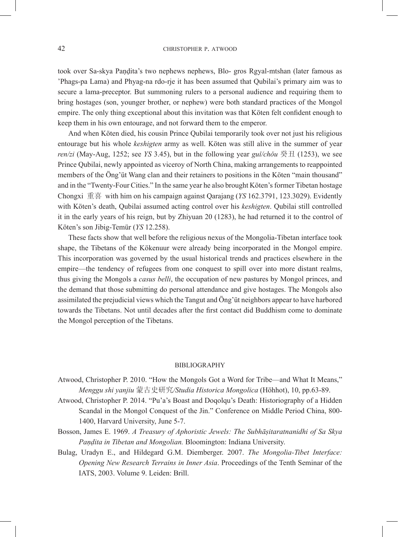took over Sa-skya Paṇḍita's two nephews nephews, Blo- gros Rgyal-mtshan (later famous as 'Phags-pa Lama) and Phyag-na rdo-rje it has been assumed that Qubilai's primary aim was to secure a lama-preceptor. But summoning rulers to a personal audience and requiring them to bring hostages (son, younger brother, or nephew) were both standard practices of the Mongol empire. The only thing exceptional about this invitation was that Köten felt confident enough to keep them in his own entourage, and not forward them to the emperor.

And when Köten died, his cousin Prince Qubilai temporarily took over not just his religious entourage but his whole *keshigten* army as well. Köten was still alive in the summer of year *ren/zi* (May-Aug, 1252; see *YS* 3.45), but in the following year *guǐ/chǒu* 癸丑 (1253), we see Prince Qubilai, newly appointed as viceroy of North China, making arrangements to reappointed members of the Öng'üt Wang clan and their retainers to positions in the Köten "main thousand" and in the "Twenty-Four Cities." In the same year he also brought Köten's former Tibetan hostage Chongxi 重喜 with him on his campaign against Qarajang (*YS* 162.3791, 123.3029). Evidently with Köten's death, Qubilai assumed acting control over his *keshigten*. Qubilai still controlled it in the early years of his reign, but by Zhiyuan 20 (1283), he had returned it to the control of Köten's son Jibig-Temür (*YS* 12.258).

These facts show that well before the religious nexus of the Mongolia-Tibetan interface took shape, the Tibetans of the Kökenuur were already being incorporated in the Mongol empire. This incorporation was governed by the usual historical trends and practices elsewhere in the empire—the tendency of refugees from one conquest to spill over into more distant realms, thus giving the Mongols a *casus belli*, the occupation of new pastures by Mongol princes, and the demand that those submitting do personal attendance and give hostages. The Mongols also assimilated the prejudicial views which the Tangut and Öng'üt neighbors appear to have harbored towards the Tibetans. Not until decades after the first contact did Buddhism come to dominate the Mongol perception of the Tibetans.

#### **BIBLIOGRAPHY**

- Atwood, Christopher P. 2010. "How the Mongols Got a Word for Tribe—and What It Means," *Menggu shi yanjiu* 蒙古史研究*/Studia Historica Mongolica* (Höhhot), 10, pp.63-89.
- Atwood, Christopher P. 2014. "Pu'a's Boast and Doqolqu's Death: Historiography of a Hidden Scandal in the Mongol Conquest of the Jin." Conference on Middle Period China, 800- 1400, Harvard University, June 5-7.
- Bosson, James E. 1969. *A Treasury of Aphoristic Jewels: The Subhāṣitaratnanidhi of Sa Skya Paṇḍita in Tibetan and Mongolian.* Bloomington: Indiana University.
- Bulag, Uradyn E., and Hildegard G.M. Diemberger. 2007. *The Mongolia-Tibet Interface: Opening New Research Terrains in Inner Asia*. Proceedings of the Tenth Seminar of the IATS, 2003. Volume 9. Leiden: Brill.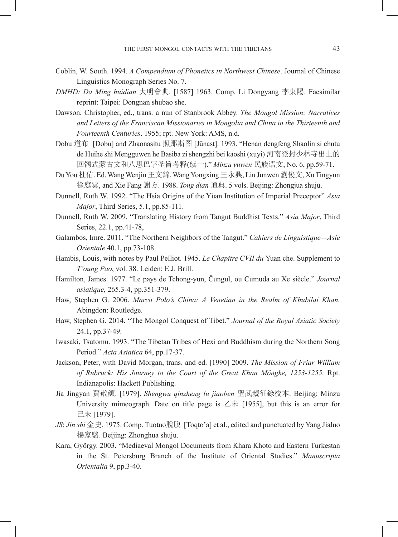- Coblin, W. South. 1994. *A Compendium of Phonetics in Northwest Chinese*. Journal of Chinese Linguistics Monograph Series No. 7.
- *DMHD: Da Ming huidian* 大明會典. [1587] 1963. Comp. Li Dongyang 李東陽. Facsimilar reprint: Taipei: Dongnan shubao she.
- Dawson, Christopher, ed., trans. a nun of Stanbrook Abbey. *The Mongol Mission: Narratives and Letters of the Franciscan Missionaries in Mongolia and China in the Thirteenth and Fourteenth Centuries*. 1955; rpt. New York: AMS, n.d.
- Dobu 道布 [Dobu] and Zhaonasitu 照那斯图 [Jūnast]. 1993. "Henan dengfeng Shaolin si chutu de Huihe shi Mengguwen he Basiba zi shengzhi bei kaoshi (xuyi) 河南登封少林寺出土的 回鹘式蒙古文和八思巴字圣旨考释(续一)." *Minzu yuwen* 民族语文, No. 6, pp.59-71.
- Du You 杜佑. Ed. Wang Wenjin 王文錦, Wang Yongxing 王永興, Liu Junwen 劉俊文, Xu Tingyun 徐庭雲, and Xie Fang 謝方. 1988. *Tong dian* 通典. 5 vols. Beijing: Zhongjua shuju.
- Dunnell, Ruth W. 1992. "The Hsia Origins of the Yüan Institution of Imperial Preceptor" *Asia Major*, Third Series, 5.1, pp.85-111.
- Dunnell, Ruth W. 2009. "Translating History from Tangut Buddhist Texts." *Asia Major*, Third Series, 22.1, pp.41-78,
- Galambos, Imre. 2011. "The Northern Neighbors of the Tangut." *Cahiers de Linguistique—Asie Orientale* 40.1, pp.73-108.
- Hambis, Louis, with notes by Paul Pelliot. 1945. *Le Chapitre CVII du* Yuan che. Supplement to *T'oung Pao*, vol. 38. Leiden: E.J. Brill.
- Hamilton, James. 1977. "Le pays de Tchong-yun, Čungul, ou Cumuda au Xe siècle." *Journal asiatique,* 265.3-4, pp.351-379.
- Haw, Stephen G. 2006. *Marco Polo's China: A Venetian in the Realm of Khubilai Khan.* Abingdon: Routledge.
- Haw, Stephen G. 2014. "The Mongol Conquest of Tibet." *Journal of the Royal Asiatic Society*  24.1, pp.37-49.
- Iwasaki, Tsutomu. 1993. "The Tibetan Tribes of Hexi and Buddhism during the Northern Song Period." *Acta Asiatica* 64, pp.17-37.
- Jackson, Peter, with David Morgan, trans. and ed. [1990] 2009. *The Mission of Friar William of Rubruck: His Journey to the Court of the Great Khan Möngke, 1253-1255.* Rpt. Indianapolis: Hackett Publishing.
- Jia Jingyan 賈敬顔. [1979]. *Shengwu qinzheng lu jiaoben* 聖武親征錄校本. Beijing: Minzu University mimeograph. Date on title page is  $\overline{\triangle}$   $\overline{\triangle}$  [1955], but this is an error for 己未 [1979].
- *JS*: *Jin shi* 金史. 1975. Comp. Tuotuo脫脫 [Toqto'a] et al., edited and punctuated by Yang Jialuo 楊家駱. Beijing: Zhonghua shuju.
- Kara, György. 2003. "Mediaeval Mongol Documents from Khara Khoto and Eastern Turkestan in the St. Petersburg Branch of the Institute of Oriental Studies." *Manuscripta Orientalia* 9, pp.3-40.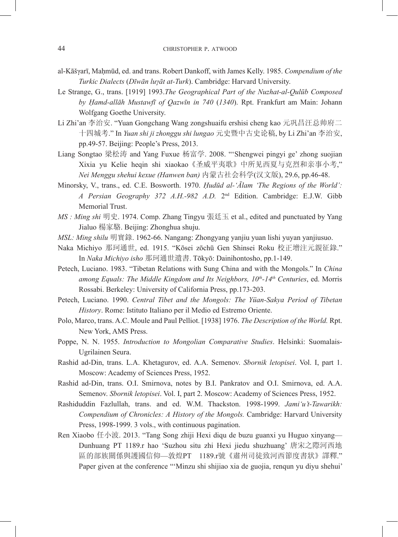- al-Kāšγarī, Maḥmūd, ed. and trans. Robert Dankoff, with James Kelly. 1985. *Compendium of the Turkic Dialects* (*Dīwān luγāt at-Turk*). Cambridge: Harvard University.
- Le Strange, G., trans. [1919] 1993.*The Geographical Part of the Nuzhat-al-Qulūb Composed by Ḥamd-allāh Mustawfī of Qazwīn in 740* (*1340*). Rpt. Frankfurt am Main: Johann Wolfgang Goethe University.
- Li Zhi'an 李治安. "Yuan Gongchang Wang zongshuaifu ershisi cheng kao 元巩昌汪总帅府二 十四城考." In *Yuan shi ji zhonggu shi lungao* 元史暨中古史论稿, by Li Zhi'an 李治安, pp.49-57. Beijing: People's Press, 2013.
- Liang Songtao 梁松涛 and Yang Fuxue 杨富学. 2008. "'Shengwei pingyi ge' zhong suojian Xixia yu Kelie heqin shi xiaokao《圣威平夷歌》中所见西夏与克烈和亲事小考," *Nei Menggu shehui kexue (Hanwen ban)* 内蒙古社会科学(汉文版), 29.6, pp.46-48.
- Minorsky, V., trans., ed. C.E. Bosworth. 1970. *Ḥudūd al-'Ālam 'The Regions of the World': A Persian Geography 372 A.H.-982 A.D.* 2nd Edition. Cambridge: E.J.W. Gibb Memorial Trust.
- *MS : Ming shi* 明史. 1974. Comp. Zhang Tingyu 張廷玉 et al., edited and punctuated by Yang Jialuo 楊家駱. Beijing: Zhonghua shuju.
- *MSL: Ming shilu* 明實錄. 1962-66. Nangang: Zhongyang yanjiu yuan lishi yuyan yanjiusuo.
- Naka Michiyo 那珂通世, ed. 1915. "Kōsei zōchū Gen Shinsei Roku 校正增注元親征錄." In *Naka Michiyo isho* 那珂通世遺書. Tōkyō: Dainihontosho, pp.1-149.
- Petech, Luciano. 1983. "Tibetan Relations with Sung China and with the Mongols." In *China among Equals: The Middle Kingdom and Its Neighbors, 10th-14th Centuries*, ed. Morris Rossabi. Berkeley: University of California Press, pp.173-203.
- Petech, Luciano. 1990. *Central Tibet and the Mongols: The Yüan-Sakya Period of Tibetan History*. Rome: Istituto Italiano per il Medio ed Estremo Oriente.
- Polo, Marco, trans. A.C. Moule and Paul Pelliot. [1938] 1976. *The Description of the World.* Rpt. New York, AMS Press.
- Poppe, N. N. 1955. *Introduction to Mongolian Comparative Studies*. Helsinki: Suomalais-Ugrilainen Seura.
- Rashid ad-Din, trans. L.A. Khetagurov, ed. A.A. Semenov. *Sbornik letopisei*. Vol. I, part 1. Moscow: Academy of Sciences Press, 1952.
- Rashid ad-Din, trans. O.I. Smirnova, notes by B.I. Pankratov and O.I. Smirnova, ed. A.A. Semenov. *Sbornik letopisei*. Vol. I, part 2. Moscow: Academy of Sciences Press, 1952.
- Rashiduddin Fazlullah, trans. and ed. W.M. Thackston. 1998-1999. *Jami'u't-Tawarikh: Compendium of Chronicles: A History of the Mongols.* Cambridge: Harvard University Press, 1998-1999. 3 vols., with continuous pagination.
- Ren Xiaobo 任小波. 2013. "Tang Song zhiji Hexi diqu de buzu guanxi yu Huguo xinyang— Dunhuang PT 1189.r hao 'Suzhou situ zhi Hexi jiedu shuzhuang' 唐宋之際河西地 區的部族關係與護國信仰—敦煌PT 1189.r號《肅州司徒致河西節度書狀》譯釋." Paper given at the conference "'Minzu shi shijiao xia de guojia, renqun yu diyu shehui'